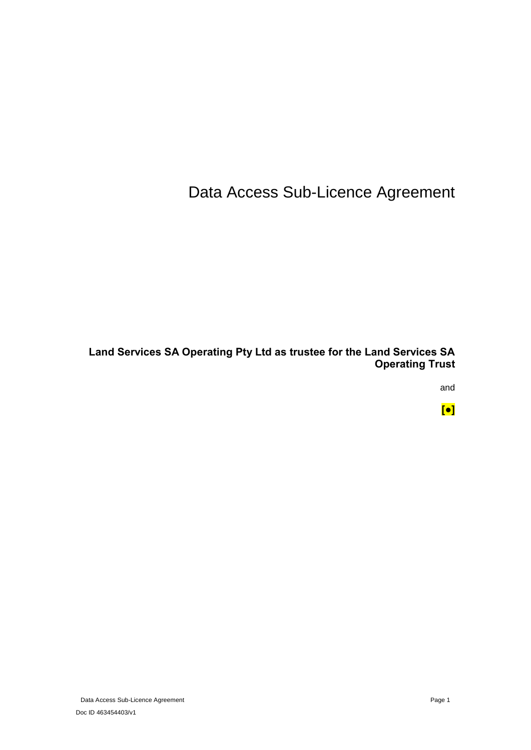Data Access Sub-Licence Agreement

**Land Services SA Operating Pty Ltd as trustee for the Land Services SA Operating Trust**

and

**[●]**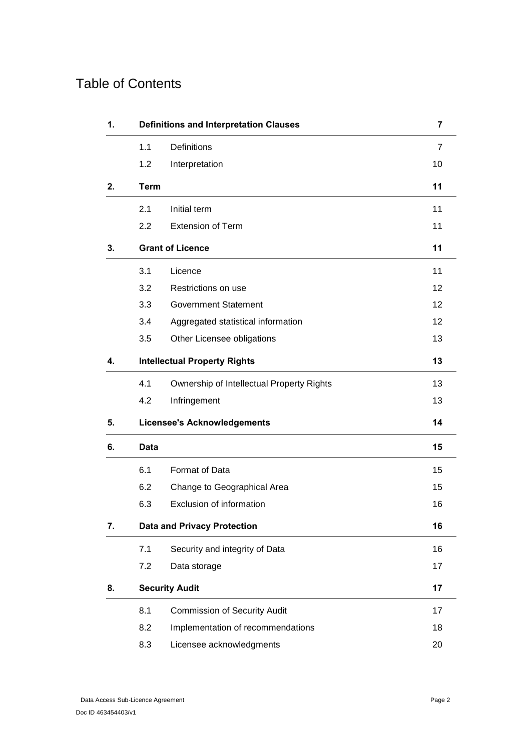# Table of Contents

| 1. |             | <b>Definitions and Interpretation Clauses</b> | 7              |
|----|-------------|-----------------------------------------------|----------------|
|    | 1.1         | <b>Definitions</b>                            | $\overline{7}$ |
|    | 1.2         | Interpretation                                | 10             |
| 2. | <b>Term</b> |                                               | 11             |
|    | 2.1         | Initial term                                  | 11             |
|    | 2.2         | <b>Extension of Term</b>                      | 11             |
| 3. |             | <b>Grant of Licence</b>                       | 11             |
|    | 3.1         | Licence                                       | 11             |
|    | 3.2         | Restrictions on use                           | 12             |
|    | 3.3         | <b>Government Statement</b>                   | 12             |
|    | 3.4         | Aggregated statistical information            | 12             |
|    | 3.5         | Other Licensee obligations                    | 13             |
| 4. |             | <b>Intellectual Property Rights</b>           | 13             |
|    | 4.1         | Ownership of Intellectual Property Rights     | 13             |
|    | 4.2         | Infringement                                  | 13             |
| 5. |             | <b>Licensee's Acknowledgements</b>            | 14             |
| 6. | Data        |                                               | 15             |
|    | 6.1         | Format of Data                                | 15             |
|    | 6.2         | Change to Geographical Area                   | 15             |
|    | 6.3         | Exclusion of information                      | 16             |
| 7. |             | <b>Data and Privacy Protection</b>            | 16             |
|    | 7.1         | Security and integrity of Data                | 16             |
|    | 7.2         | Data storage                                  | 17             |
| 8. |             | <b>Security Audit</b>                         | 17             |
|    | 8.1         | <b>Commission of Security Audit</b>           | 17             |
|    | 8.2         | Implementation of recommendations             | 18             |
|    | 8.3         | Licensee acknowledgments                      | 20             |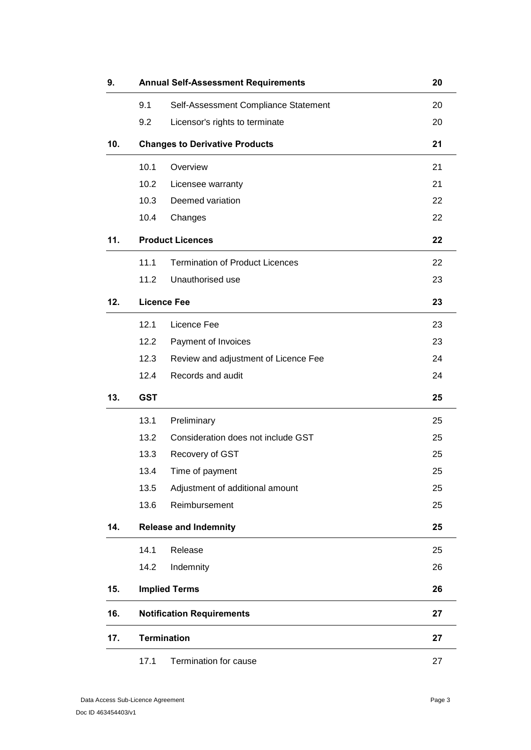| 9.  |            | <b>Annual Self-Assessment Requirements</b> | 20 |
|-----|------------|--------------------------------------------|----|
|     | 9.1        | Self-Assessment Compliance Statement       | 20 |
|     | 9.2        | Licensor's rights to terminate             | 20 |
| 10. |            | <b>Changes to Derivative Products</b>      | 21 |
|     | 10.1       | Overview                                   | 21 |
|     | 10.2       | Licensee warranty                          | 21 |
|     | 10.3       | Deemed variation                           | 22 |
|     | 10.4       | Changes                                    | 22 |
| 11. |            | <b>Product Licences</b>                    | 22 |
|     | 11.1       | <b>Termination of Product Licences</b>     | 22 |
|     | 11.2       | Unauthorised use                           | 23 |
| 12. |            | <b>Licence Fee</b>                         | 23 |
|     | 12.1       | Licence Fee                                | 23 |
|     | 12.2       | Payment of Invoices                        | 23 |
|     | 12.3       | Review and adjustment of Licence Fee       | 24 |
|     | 12.4       | Records and audit                          | 24 |
| 13. | <b>GST</b> |                                            | 25 |
|     | 13.1       | Preliminary                                | 25 |
|     | 13.2       | Consideration does not include GST         | 25 |
|     | 13.3       | Recovery of GST                            | 25 |
|     | 13.4       | Time of payment                            | 25 |
|     | 13.5       | Adjustment of additional amount            | 25 |
|     | 13.6       | Reimbursement                              | 25 |
| 14. |            | <b>Release and Indemnity</b>               | 25 |
|     | 14.1       | Release                                    | 25 |
|     | 14.2       | Indemnity                                  | 26 |
| 15. |            | <b>Implied Terms</b>                       | 26 |
| 16. |            | <b>Notification Requirements</b>           | 27 |
| 17. |            | <b>Termination</b>                         | 27 |
|     | 17.1       | Termination for cause                      | 27 |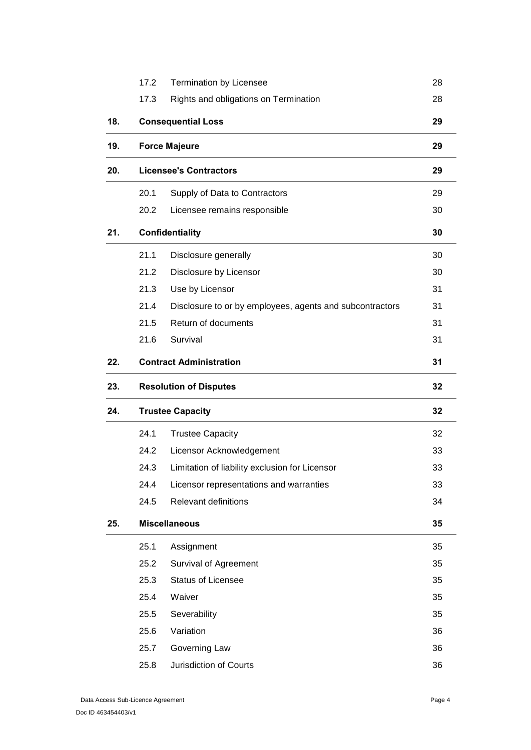|     | 17.2                          | <b>Termination by Licensee</b>                           | 28 |
|-----|-------------------------------|----------------------------------------------------------|----|
|     | 17.3                          | Rights and obligations on Termination                    | 28 |
| 18. |                               | <b>Consequential Loss</b>                                | 29 |
| 19. |                               | <b>Force Majeure</b>                                     | 29 |
| 20. |                               | <b>Licensee's Contractors</b>                            | 29 |
|     | 20.1                          | Supply of Data to Contractors                            | 29 |
|     | 20.2                          | Licensee remains responsible                             | 30 |
| 21. |                               | <b>Confidentiality</b>                                   | 30 |
|     | 21.1                          | Disclosure generally                                     | 30 |
|     | 21.2                          | Disclosure by Licensor                                   | 30 |
|     | 21.3                          | Use by Licensor                                          | 31 |
|     | 21.4                          | Disclosure to or by employees, agents and subcontractors | 31 |
|     | 21.5                          | Return of documents                                      | 31 |
|     | 21.6                          | Survival                                                 | 31 |
| 22. |                               | <b>Contract Administration</b>                           | 31 |
| 23. | <b>Resolution of Disputes</b> |                                                          | 32 |
|     |                               |                                                          |    |
| 24. |                               | <b>Trustee Capacity</b>                                  | 32 |
|     | 24.1                          | <b>Trustee Capacity</b>                                  | 32 |
|     | 24.2                          | Licensor Acknowledgement                                 | 33 |
|     | 24.3                          | Limitation of liability exclusion for Licensor           | 33 |
|     | 24.4                          | Licensor representations and warranties                  | 33 |
|     | 24.5                          | <b>Relevant definitions</b>                              | 34 |
| 25. |                               | <b>Miscellaneous</b>                                     | 35 |
|     | 25.1                          | Assignment                                               | 35 |
|     | 25.2                          | <b>Survival of Agreement</b>                             | 35 |
|     | 25.3                          | <b>Status of Licensee</b>                                | 35 |
|     | 25.4                          | Waiver                                                   | 35 |
|     | 25.5                          | Severability                                             | 35 |
|     | 25.6                          | Variation                                                | 36 |
|     | 25.7                          | Governing Law                                            | 36 |
|     | 25.8                          | Jurisdiction of Courts                                   | 36 |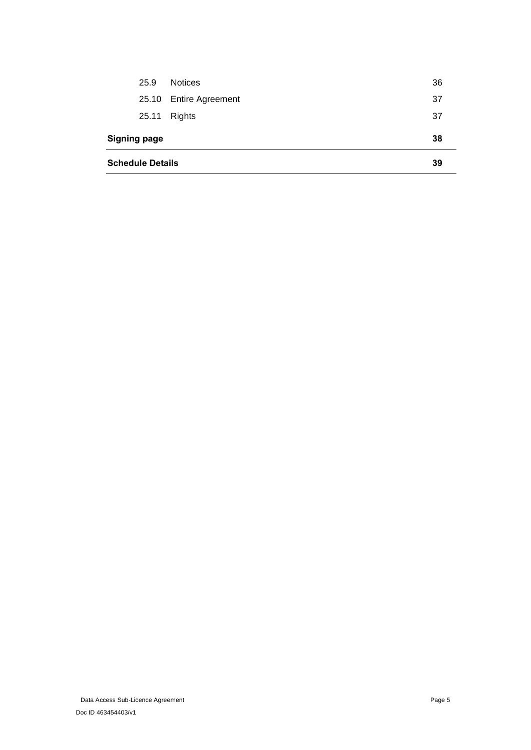| <b>Schedule Details</b> |       | 39                     |     |
|-------------------------|-------|------------------------|-----|
| <b>Signing page</b>     |       |                        | 38  |
|                         | 25.11 | Rights                 | -37 |
|                         |       | 25.10 Entire Agreement | -37 |
|                         | 25.9  | <b>Notices</b>         | 36  |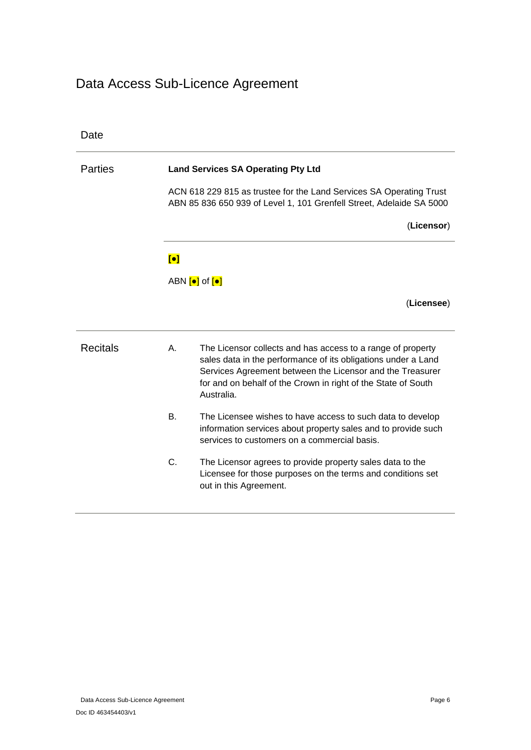# Data Access Sub-Licence Agreement

| Date            |                |                                                                                                                                                                                                                                                                          |
|-----------------|----------------|--------------------------------------------------------------------------------------------------------------------------------------------------------------------------------------------------------------------------------------------------------------------------|
| <b>Parties</b>  |                | <b>Land Services SA Operating Pty Ltd</b>                                                                                                                                                                                                                                |
|                 |                | ACN 618 229 815 as trustee for the Land Services SA Operating Trust<br>ABN 85 836 650 939 of Level 1, 101 Grenfell Street, Adelaide SA 5000                                                                                                                              |
|                 |                | (Licensor)                                                                                                                                                                                                                                                               |
|                 | $\blacksquare$ |                                                                                                                                                                                                                                                                          |
|                 |                | ABN $\left[\bullet\right]$ of $\left[\bullet\right]$                                                                                                                                                                                                                     |
|                 |                | (Licensee)                                                                                                                                                                                                                                                               |
| <b>Recitals</b> | Α.             | The Licensor collects and has access to a range of property<br>sales data in the performance of its obligations under a Land<br>Services Agreement between the Licensor and the Treasurer<br>for and on behalf of the Crown in right of the State of South<br>Australia. |
|                 | <b>B.</b>      | The Licensee wishes to have access to such data to develop<br>information services about property sales and to provide such<br>services to customers on a commercial basis.                                                                                              |
|                 | C.             | The Licensor agrees to provide property sales data to the<br>Licensee for those purposes on the terms and conditions set<br>out in this Agreement.                                                                                                                       |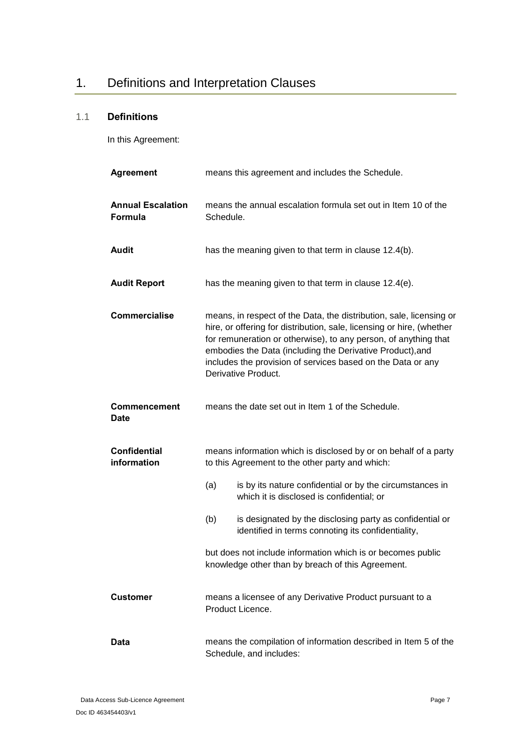# <span id="page-6-0"></span>1. Definitions and Interpretation Clauses

# <span id="page-6-1"></span>1.1 **Definitions**

In this Agreement:

| <b>Agreement</b>                    | means this agreement and includes the Schedule.                                                                                                                                                                                                                                                                                                                    |
|-------------------------------------|--------------------------------------------------------------------------------------------------------------------------------------------------------------------------------------------------------------------------------------------------------------------------------------------------------------------------------------------------------------------|
| <b>Annual Escalation</b><br>Formula | means the annual escalation formula set out in Item 10 of the<br>Schedule.                                                                                                                                                                                                                                                                                         |
| <b>Audit</b>                        | has the meaning given to that term in clause 12.4(b).                                                                                                                                                                                                                                                                                                              |
| <b>Audit Report</b>                 | has the meaning given to that term in clause 12.4(e).                                                                                                                                                                                                                                                                                                              |
| <b>Commercialise</b>                | means, in respect of the Data, the distribution, sale, licensing or<br>hire, or offering for distribution, sale, licensing or hire, (whether<br>for remuneration or otherwise), to any person, of anything that<br>embodies the Data (including the Derivative Product), and<br>includes the provision of services based on the Data or any<br>Derivative Product. |
| <b>Commencement</b><br><b>Date</b>  | means the date set out in Item 1 of the Schedule.                                                                                                                                                                                                                                                                                                                  |
| <b>Confidential</b><br>information  | means information which is disclosed by or on behalf of a party<br>to this Agreement to the other party and which:                                                                                                                                                                                                                                                 |
|                                     | (a)<br>is by its nature confidential or by the circumstances in<br>which it is disclosed is confidential; or                                                                                                                                                                                                                                                       |
|                                     | (b)<br>is designated by the disclosing party as confidential or<br>identified in terms connoting its confidentiality,                                                                                                                                                                                                                                              |
|                                     | but does not include information which is or becomes public<br>knowledge other than by breach of this Agreement.                                                                                                                                                                                                                                                   |
| <b>Customer</b>                     | means a licensee of any Derivative Product pursuant to a<br>Product Licence.                                                                                                                                                                                                                                                                                       |
| <b>Data</b>                         | means the compilation of information described in Item 5 of the<br>Schedule, and includes:                                                                                                                                                                                                                                                                         |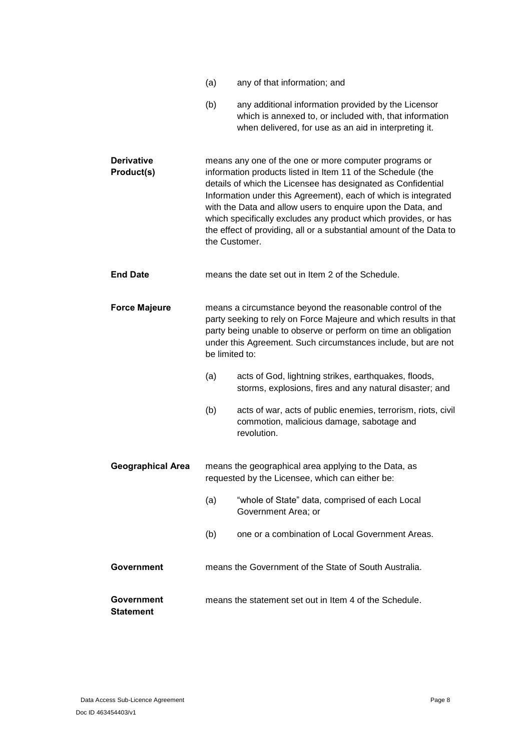|                                       | (a)            | any of that information; and                                                                                                                                                                                                                                                                                                                                                                                                                                   |
|---------------------------------------|----------------|----------------------------------------------------------------------------------------------------------------------------------------------------------------------------------------------------------------------------------------------------------------------------------------------------------------------------------------------------------------------------------------------------------------------------------------------------------------|
|                                       | (b)            | any additional information provided by the Licensor<br>which is annexed to, or included with, that information<br>when delivered, for use as an aid in interpreting it.                                                                                                                                                                                                                                                                                        |
| <b>Derivative</b><br>Product(s)       | the Customer.  | means any one of the one or more computer programs or<br>information products listed in Item 11 of the Schedule (the<br>details of which the Licensee has designated as Confidential<br>Information under this Agreement), each of which is integrated<br>with the Data and allow users to enquire upon the Data, and<br>which specifically excludes any product which provides, or has<br>the effect of providing, all or a substantial amount of the Data to |
| <b>End Date</b>                       |                | means the date set out in Item 2 of the Schedule.                                                                                                                                                                                                                                                                                                                                                                                                              |
| <b>Force Majeure</b>                  | be limited to: | means a circumstance beyond the reasonable control of the<br>party seeking to rely on Force Majeure and which results in that<br>party being unable to observe or perform on time an obligation<br>under this Agreement. Such circumstances include, but are not                                                                                                                                                                                               |
|                                       | (a)            | acts of God, lightning strikes, earthquakes, floods,<br>storms, explosions, fires and any natural disaster; and                                                                                                                                                                                                                                                                                                                                                |
|                                       | (b)            | acts of war, acts of public enemies, terrorism, riots, civil<br>commotion, malicious damage, sabotage and<br>revolution.                                                                                                                                                                                                                                                                                                                                       |
| <b>Geographical Area</b>              |                | means the geographical area applying to the Data, as<br>requested by the Licensee, which can either be:                                                                                                                                                                                                                                                                                                                                                        |
|                                       | (a)            | "whole of State" data, comprised of each Local<br>Government Area; or                                                                                                                                                                                                                                                                                                                                                                                          |
|                                       | (b)            | one or a combination of Local Government Areas.                                                                                                                                                                                                                                                                                                                                                                                                                |
| <b>Government</b>                     |                | means the Government of the State of South Australia.                                                                                                                                                                                                                                                                                                                                                                                                          |
| <b>Government</b><br><b>Statement</b> |                | means the statement set out in Item 4 of the Schedule.                                                                                                                                                                                                                                                                                                                                                                                                         |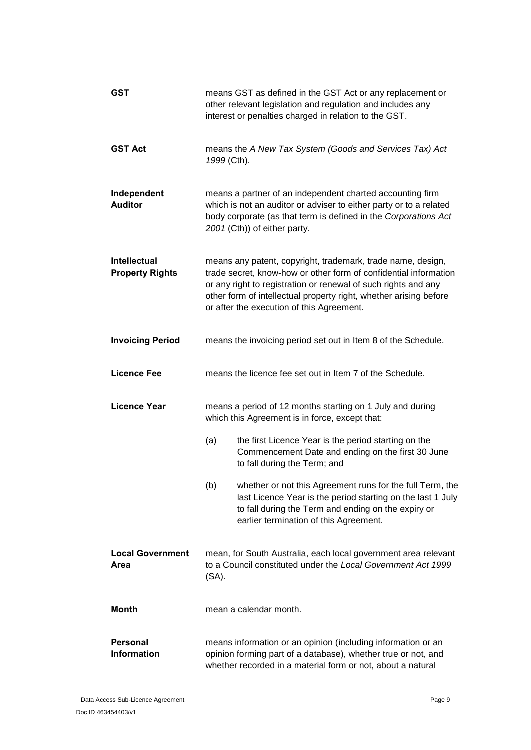| GST                                           | means GST as defined in the GST Act or any replacement or<br>other relevant legislation and regulation and includes any<br>interest or penalties charged in relation to the GST.                                                                                                                                    |
|-----------------------------------------------|---------------------------------------------------------------------------------------------------------------------------------------------------------------------------------------------------------------------------------------------------------------------------------------------------------------------|
| <b>GST Act</b>                                | means the A New Tax System (Goods and Services Tax) Act<br>1999 (Cth).                                                                                                                                                                                                                                              |
| Independent<br><b>Auditor</b>                 | means a partner of an independent charted accounting firm<br>which is not an auditor or adviser to either party or to a related<br>body corporate (as that term is defined in the Corporations Act<br>2001 (Cth)) of either party.                                                                                  |
| <b>Intellectual</b><br><b>Property Rights</b> | means any patent, copyright, trademark, trade name, design,<br>trade secret, know-how or other form of confidential information<br>or any right to registration or renewal of such rights and any<br>other form of intellectual property right, whether arising before<br>or after the execution of this Agreement. |
| <b>Invoicing Period</b>                       | means the invoicing period set out in Item 8 of the Schedule.                                                                                                                                                                                                                                                       |
| <b>Licence Fee</b>                            | means the licence fee set out in Item 7 of the Schedule.                                                                                                                                                                                                                                                            |
| <b>Licence Year</b>                           | means a period of 12 months starting on 1 July and during<br>which this Agreement is in force, except that:                                                                                                                                                                                                         |
|                                               | (a)<br>the first Licence Year is the period starting on the<br>Commencement Date and ending on the first 30 June<br>to fall during the Term; and                                                                                                                                                                    |
|                                               | whether or not this Agreement runs for the full Term, the<br>(b)<br>last Licence Year is the period starting on the last 1 July<br>to fall during the Term and ending on the expiry or<br>earlier termination of this Agreement.                                                                                    |
| <b>Local Government</b><br>Area               | mean, for South Australia, each local government area relevant<br>to a Council constituted under the Local Government Act 1999<br>$(SA)$ .                                                                                                                                                                          |
| <b>Month</b>                                  | mean a calendar month.                                                                                                                                                                                                                                                                                              |
| <b>Personal</b><br><b>Information</b>         | means information or an opinion (including information or an<br>opinion forming part of a database), whether true or not, and<br>whether recorded in a material form or not, about a natural                                                                                                                        |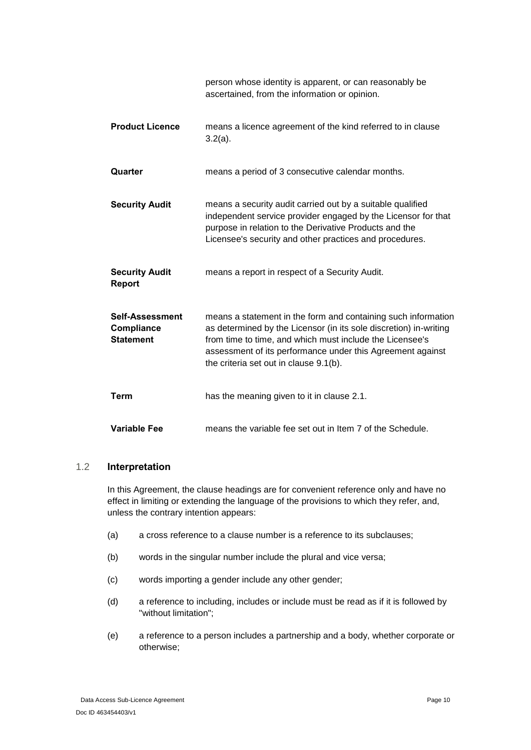|                                                   | person whose identity is apparent, or can reasonably be<br>ascertained, from the information or opinion.                                                                                                                                                                                               |
|---------------------------------------------------|--------------------------------------------------------------------------------------------------------------------------------------------------------------------------------------------------------------------------------------------------------------------------------------------------------|
| <b>Product Licence</b>                            | means a licence agreement of the kind referred to in clause<br>$3.2(a)$ .                                                                                                                                                                                                                              |
| Quarter                                           | means a period of 3 consecutive calendar months.                                                                                                                                                                                                                                                       |
| <b>Security Audit</b>                             | means a security audit carried out by a suitable qualified<br>independent service provider engaged by the Licensor for that<br>purpose in relation to the Derivative Products and the<br>Licensee's security and other practices and procedures.                                                       |
| <b>Security Audit</b><br><b>Report</b>            | means a report in respect of a Security Audit.                                                                                                                                                                                                                                                         |
| Self-Assessment<br>Compliance<br><b>Statement</b> | means a statement in the form and containing such information<br>as determined by the Licensor (in its sole discretion) in-writing<br>from time to time, and which must include the Licensee's<br>assessment of its performance under this Agreement against<br>the criteria set out in clause 9.1(b). |
| <b>Term</b>                                       | has the meaning given to it in clause 2.1.                                                                                                                                                                                                                                                             |
| <b>Variable Fee</b>                               | means the variable fee set out in Item 7 of the Schedule.                                                                                                                                                                                                                                              |

### <span id="page-9-0"></span>1.2 **Interpretation**

In this Agreement, the clause headings are for convenient reference only and have no effect in limiting or extending the language of the provisions to which they refer, and, unless the contrary intention appears:

- (a) a cross reference to a clause number is a reference to its subclauses;
- (b) words in the singular number include the plural and vice versa;
- (c) words importing a gender include any other gender;
- (d) a reference to including, includes or include must be read as if it is followed by "without limitation";
- (e) a reference to a person includes a partnership and a body, whether corporate or otherwise;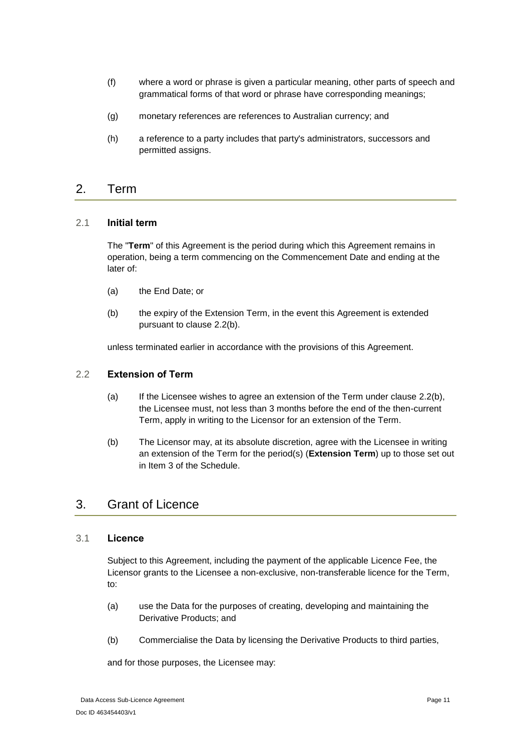- (f) where a word or phrase is given a particular meaning, other parts of speech and grammatical forms of that word or phrase have corresponding meanings;
- (g) monetary references are references to Australian currency; and
- (h) a reference to a party includes that party's administrators, successors and permitted assigns.

### <span id="page-10-0"></span>2. Term

### <span id="page-10-1"></span>2.1 **Initial term**

The "**Term**" of this Agreement is the period during which this Agreement remains in operation, being a term commencing on the Commencement Date and ending at the later of:

- (a) the End Date; or
- (b) the expiry of the Extension Term, in the event this Agreement is extended pursuant to clause [2.2\(b\).](#page-10-5)

unless terminated earlier in accordance with the provisions of this Agreement.

### <span id="page-10-8"></span><span id="page-10-2"></span>2.2 **Extension of Term**

- (a) If the Licensee wishes to agree an extension of the Term under clause [2.2\(b\),](#page-10-5) the Licensee must, not less than 3 months before the end of the then-current Term, apply in writing to the Licensor for an extension of the Term.
- <span id="page-10-5"></span>(b) The Licensor may, at its absolute discretion, agree with the Licensee in writing an extension of the Term for the period(s) (**Extension Term**) up to those set out in [Item 3](#page-38-4) of the Schedule.

## <span id="page-10-3"></span>3. Grant of Licence

### <span id="page-10-4"></span>3.1 **Licence**

Subject to this Agreement, including the payment of the applicable Licence Fee, the Licensor grants to the Licensee a non-exclusive, non-transferable licence for the Term, to:

- <span id="page-10-6"></span>(a) use the Data for the purposes of creating, developing and maintaining the Derivative Products; and
- <span id="page-10-7"></span>(b) Commercialise the Data by licensing the Derivative Products to third parties,

and for those purposes, the Licensee may: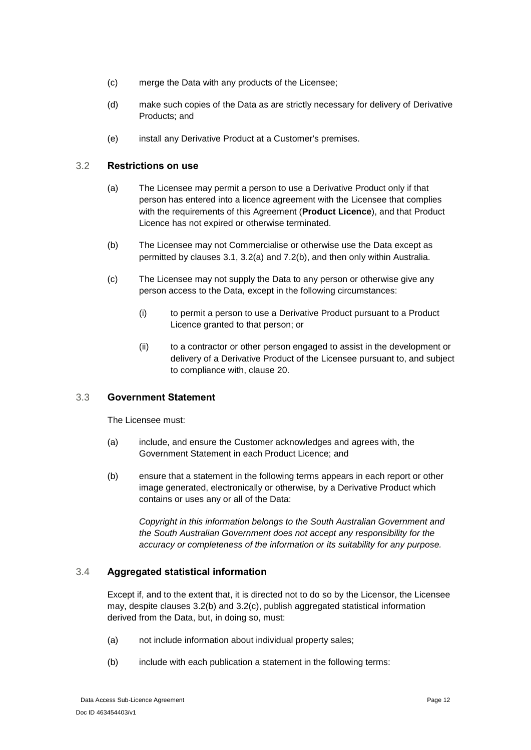- (c) merge the Data with any products of the Licensee;
- (d) make such copies of the Data as are strictly necessary for delivery of Derivative Products; and
- (e) install any Derivative Product at a Customer's premises.

### <span id="page-11-3"></span><span id="page-11-0"></span>3.2 **Restrictions on use**

- (a) The Licensee may permit a person to use a Derivative Product only if that person has entered into a licence agreement with the Licensee that complies with the requirements of this Agreement (**Product Licence**), and that Product Licence has not expired or otherwise terminated.
- <span id="page-11-4"></span>(b) The Licensee may not Commercialise or otherwise use the Data except as permitted by clauses [3.1,](#page-10-4) [3.2\(a\)](#page-11-3) and [7.2\(b\),](#page-16-3) and then only within Australia.
- <span id="page-11-5"></span>(c) The Licensee may not supply the Data to any person or otherwise give any person access to the Data, except in the following circumstances:
	- (i) to permit a person to use a Derivative Product pursuant to a Product Licence granted to that person; or
	- (ii) to a contractor or other person engaged to assist in the development or delivery of a Derivative Product of the Licensee pursuant to, and subject to compliance with, clause [20.](#page-28-2)

### <span id="page-11-1"></span>3.3 **Government Statement**

The Licensee must:

- (a) include, and ensure the Customer acknowledges and agrees with, the Government Statement in each Product Licence; and
- (b) ensure that a statement in the following terms appears in each report or other image generated, electronically or otherwise, by a Derivative Product which contains or uses any or all of the Data:

*Copyright in this information belongs to the South Australian Government and the South Australian Government does not accept any responsibility for the accuracy or completeness of the information or its suitability for any purpose.*

### <span id="page-11-2"></span>3.4 **Aggregated statistical information**

Except if, and to the extent that, it is directed not to do so by the Licensor, the Licensee may, despite clauses [3.2\(b\)](#page-11-4) and [3.2\(c\),](#page-11-5) publish aggregated statistical information derived from the Data, but, in doing so, must:

- (a) not include information about individual property sales;
- (b) include with each publication a statement in the following terms: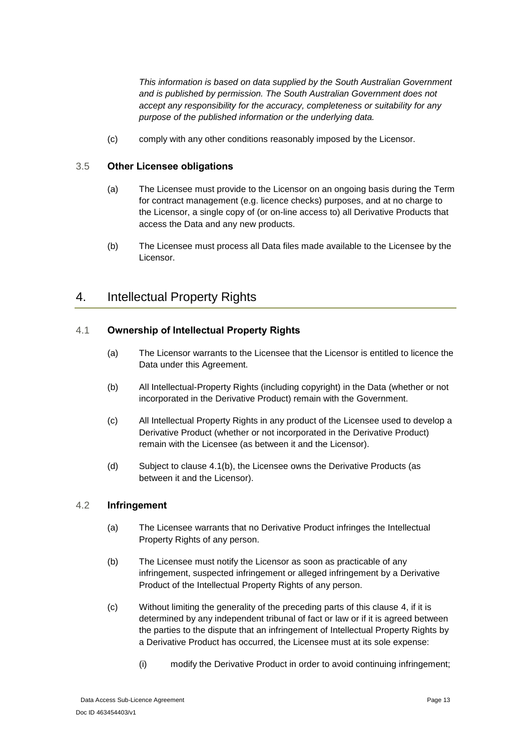*This information is based on data supplied by the South Australian Government and is published by permission. The South Australian Government does not accept any responsibility for the accuracy, completeness or suitability for any purpose of the published information or the underlying data.*

(c) comply with any other conditions reasonably imposed by the Licensor.

### <span id="page-12-0"></span>3.5 **Other Licensee obligations**

- (a) The Licensee must provide to the Licensor on an ongoing basis during the Term for contract management (e.g. licence checks) purposes, and at no charge to the Licensor, a single copy of (or on-line access to) all Derivative Products that access the Data and any new products.
- (b) The Licensee must process all Data files made available to the Licensee by the Licensor.

# <span id="page-12-1"></span>4. Intellectual Property Rights

### <span id="page-12-2"></span>4.1 **Ownership of Intellectual Property Rights**

- (a) The Licensor warrants to the Licensee that the Licensor is entitled to licence the Data under this Agreement.
- <span id="page-12-4"></span>(b) All Intellectual-Property Rights (including copyright) in the Data (whether or not incorporated in the Derivative Product) remain with the Government.
- (c) All Intellectual Property Rights in any product of the Licensee used to develop a Derivative Product (whether or not incorporated in the Derivative Product) remain with the Licensee (as between it and the Licensor).
- (d) Subject to clause [4.1\(b\),](#page-12-4) the Licensee owns the Derivative Products (as between it and the Licensor).

### <span id="page-12-3"></span>4.2 **Infringement**

- (a) The Licensee warrants that no Derivative Product infringes the Intellectual Property Rights of any person.
- (b) The Licensee must notify the Licensor as soon as practicable of any infringement, suspected infringement or alleged infringement by a Derivative Product of the Intellectual Property Rights of any person.
- (c) Without limiting the generality of the preceding parts of this clause [4,](#page-12-1) if it is determined by any independent tribunal of fact or law or if it is agreed between the parties to the dispute that an infringement of Intellectual Property Rights by a Derivative Product has occurred, the Licensee must at its sole expense:
	- (i) modify the Derivative Product in order to avoid continuing infringement;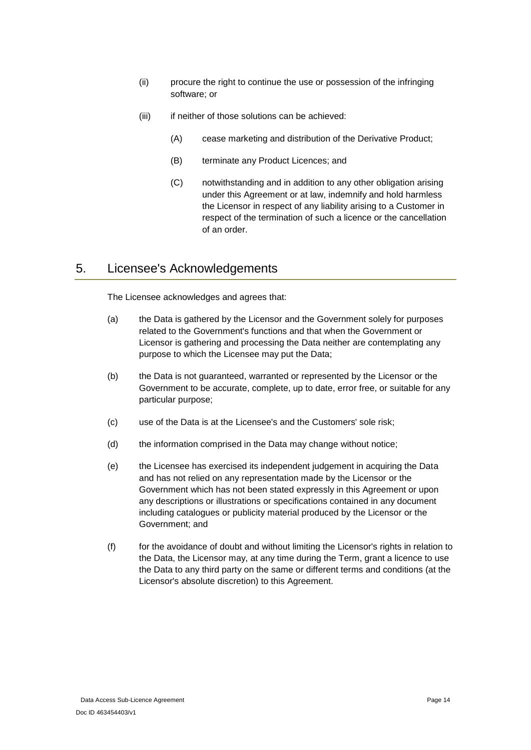- (ii) procure the right to continue the use or possession of the infringing software; or
- (iii) if neither of those solutions can be achieved:
	- (A) cease marketing and distribution of the Derivative Product;
	- (B) terminate any Product Licences; and
	- (C) notwithstanding and in addition to any other obligation arising under this Agreement or at law, indemnify and hold harmless the Licensor in respect of any liability arising to a Customer in respect of the termination of such a licence or the cancellation of an order.

# <span id="page-13-0"></span>5. Licensee's Acknowledgements

The Licensee acknowledges and agrees that:

- (a) the Data is gathered by the Licensor and the Government solely for purposes related to the Government's functions and that when the Government or Licensor is gathering and processing the Data neither are contemplating any purpose to which the Licensee may put the Data;
- (b) the Data is not guaranteed, warranted or represented by the Licensor or the Government to be accurate, complete, up to date, error free, or suitable for any particular purpose;
- (c) use of the Data is at the Licensee's and the Customers' sole risk;
- (d) the information comprised in the Data may change without notice;
- (e) the Licensee has exercised its independent judgement in acquiring the Data and has not relied on any representation made by the Licensor or the Government which has not been stated expressly in this Agreement or upon any descriptions or illustrations or specifications contained in any document including catalogues or publicity material produced by the Licensor or the Government; and
- (f) for the avoidance of doubt and without limiting the Licensor's rights in relation to the Data, the Licensor may, at any time during the Term, grant a licence to use the Data to any third party on the same or different terms and conditions (at the Licensor's absolute discretion) to this Agreement.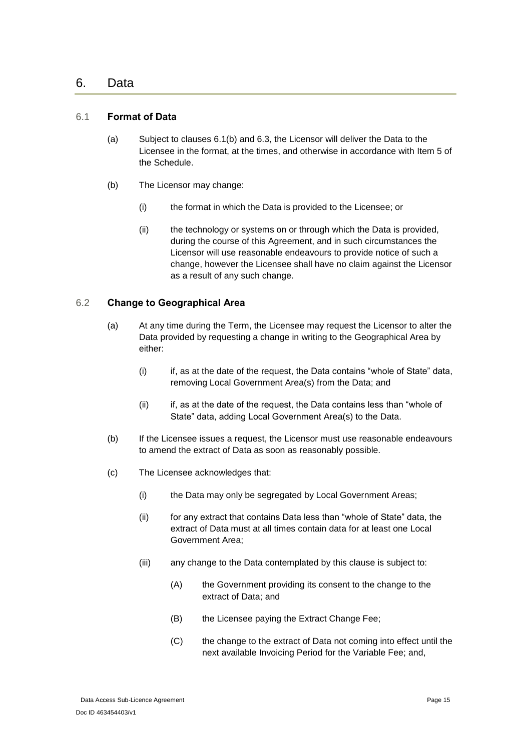### <span id="page-14-0"></span>6. Data

### <span id="page-14-1"></span>6.1 **Format of Data**

- (a) Subject to clauses [6.1\(b\)](#page-14-3) and [6.3,](#page-15-0) the Licensor will deliver the Data to the Licensee in the format, at the times, and otherwise in accordance with [Item 5](#page-39-0) of the Schedule.
- <span id="page-14-3"></span>(b) The Licensor may change:
	- (i) the format in which the Data is provided to the Licensee; or
	- (ii) the technology or systems on or through which the Data is provided, during the course of this Agreement, and in such circumstances the Licensor will use reasonable endeavours to provide notice of such a change, however the Licensee shall have no claim against the Licensor as a result of any such change.

### <span id="page-14-2"></span>6.2 **Change to Geographical Area**

- (a) At any time during the Term, the Licensee may request the Licensor to alter the Data provided by requesting a change in writing to the Geographical Area by either:
	- (i) if, as at the date of the request, the Data contains "whole of State" data, removing Local Government Area(s) from the Data; and
	- (ii) if, as at the date of the request, the Data contains less than "whole of State" data, adding Local Government Area(s) to the Data.
- (b) If the Licensee issues a request, the Licensor must use reasonable endeavours to amend the extract of Data as soon as reasonably possible.
- (c) The Licensee acknowledges that:
	- (i) the Data may only be segregated by Local Government Areas;
	- (ii) for any extract that contains Data less than "whole of State" data, the extract of Data must at all times contain data for at least one Local Government Area;
	- (iii) any change to the Data contemplated by this clause is subject to:
		- (A) the Government providing its consent to the change to the extract of Data; and
		- (B) the Licensee paying the Extract Change Fee;
		- (C) the change to the extract of Data not coming into effect until the next available Invoicing Period for the Variable Fee; and,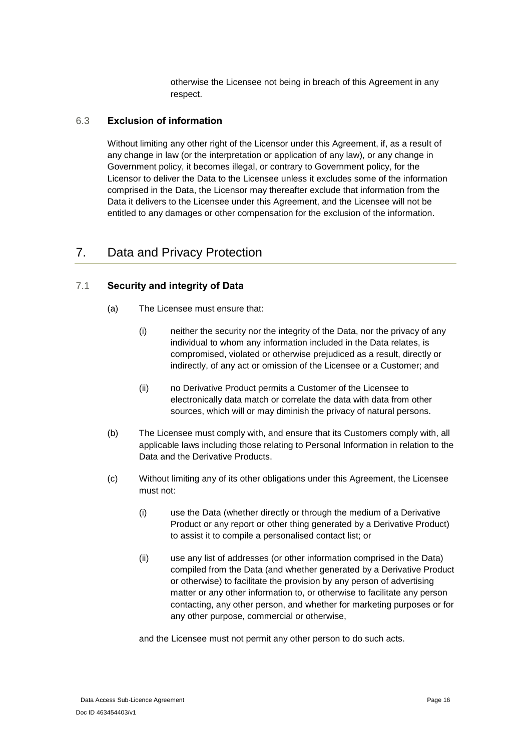otherwise the Licensee not being in breach of this Agreement in any respect.

### <span id="page-15-0"></span>6.3 **Exclusion of information**

Without limiting any other right of the Licensor under this Agreement, if, as a result of any change in law (or the interpretation or application of any law), or any change in Government policy, it becomes illegal, or contrary to Government policy, for the Licensor to deliver the Data to the Licensee unless it excludes some of the information comprised in the Data, the Licensor may thereafter exclude that information from the Data it delivers to the Licensee under this Agreement, and the Licensee will not be entitled to any damages or other compensation for the exclusion of the information.

# <span id="page-15-1"></span>7. Data and Privacy Protection

### <span id="page-15-2"></span>7.1 **Security and integrity of Data**

- (a) The Licensee must ensure that:
	- (i) neither the security nor the integrity of the Data, nor the privacy of any individual to whom any information included in the Data relates, is compromised, violated or otherwise prejudiced as a result, directly or indirectly, of any act or omission of the Licensee or a Customer; and
	- (ii) no Derivative Product permits a Customer of the Licensee to electronically data match or correlate the data with data from other sources, which will or may diminish the privacy of natural persons.
- (b) The Licensee must comply with, and ensure that its Customers comply with, all applicable laws including those relating to Personal Information in relation to the Data and the Derivative Products.
- (c) Without limiting any of its other obligations under this Agreement, the Licensee must not:
	- (i) use the Data (whether directly or through the medium of a Derivative Product or any report or other thing generated by a Derivative Product) to assist it to compile a personalised contact list; or
	- (ii) use any list of addresses (or other information comprised in the Data) compiled from the Data (and whether generated by a Derivative Product or otherwise) to facilitate the provision by any person of advertising matter or any other information to, or otherwise to facilitate any person contacting, any other person, and whether for marketing purposes or for any other purpose, commercial or otherwise,

and the Licensee must not permit any other person to do such acts.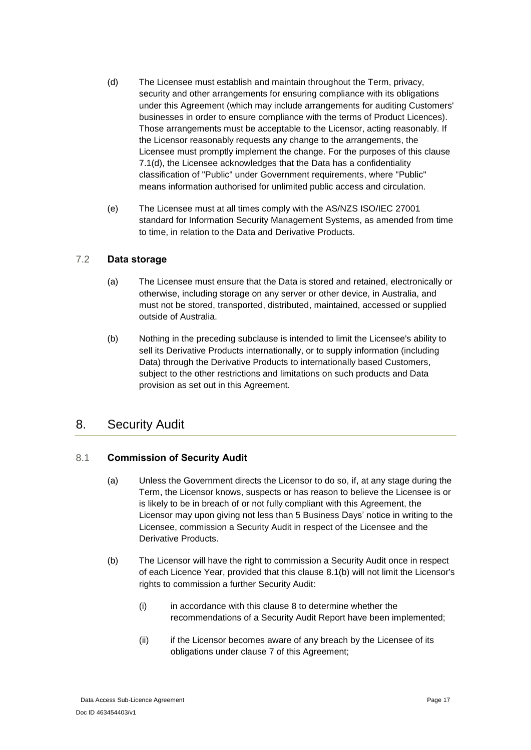- <span id="page-16-4"></span>(d) The Licensee must establish and maintain throughout the Term, privacy, security and other arrangements for ensuring compliance with its obligations under this Agreement (which may include arrangements for auditing Customers' businesses in order to ensure compliance with the terms of Product Licences). Those arrangements must be acceptable to the Licensor, acting reasonably. If the Licensor reasonably requests any change to the arrangements, the Licensee must promptly implement the change. For the purposes of this clause [7.1\(d\),](#page-16-4) the Licensee acknowledges that the Data has a confidentiality classification of "Public" under Government requirements, where "Public" means information authorised for unlimited public access and circulation.
- (e) The Licensee must at all times comply with the AS/NZS ISO/IEC 27001 standard for Information Security Management Systems, as amended from time to time, in relation to the Data and Derivative Products.

### <span id="page-16-0"></span>7.2 **Data storage**

- (a) The Licensee must ensure that the Data is stored and retained, electronically or otherwise, including storage on any server or other device, in Australia, and must not be stored, transported, distributed, maintained, accessed or supplied outside of Australia.
- <span id="page-16-3"></span>(b) Nothing in the preceding subclause is intended to limit the Licensee's ability to sell its Derivative Products internationally, or to supply information (including Data) through the Derivative Products to internationally based Customers, subject to the other restrictions and limitations on such products and Data provision as set out in this Agreement.

## <span id="page-16-1"></span>8. Security Audit

### <span id="page-16-2"></span>8.1 **Commission of Security Audit**

- (a) Unless the Government directs the Licensor to do so, if, at any stage during the Term, the Licensor knows, suspects or has reason to believe the Licensee is or is likely to be in breach of or not fully compliant with this Agreement, the Licensor may upon giving not less than 5 Business Days' notice in writing to the Licensee, commission a Security Audit in respect of the Licensee and the Derivative Products.
- <span id="page-16-5"></span>(b) The Licensor will have the right to commission a Security Audit once in respect of each Licence Year, provided that this clause [8.1\(b\)](#page-16-5) will not limit the Licensor's rights to commission a further Security Audit:
	- (i) in accordance with this clause [8](#page-16-1) to determine whether the recommendations of a Security Audit Report have been implemented;
	- (ii) if the Licensor becomes aware of any breach by the Licensee of its obligations under clause [7](#page-15-1) of this Agreement;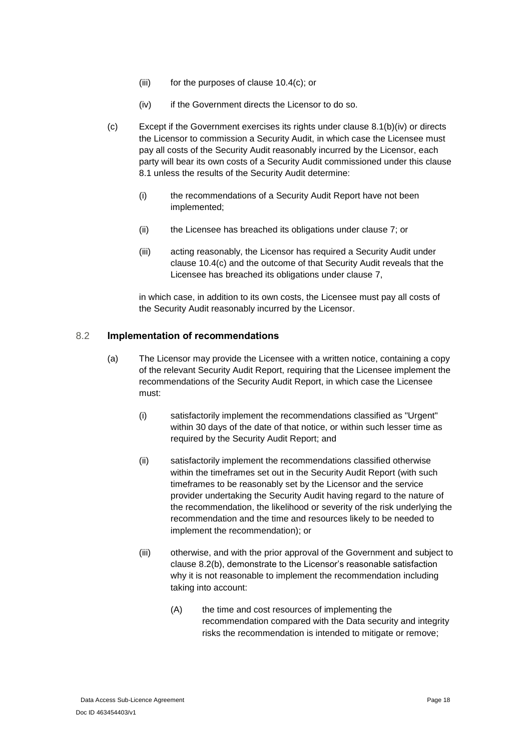- (iii) for the purposes of clause [10.4\(c\);](#page-21-4) or
- (iv) if the Government directs the Licensor to do so.
- <span id="page-17-1"></span>(c) Except if the Government exercises its rights under clause [8.1](#page-16-2)[\(b\)\(iv\)](#page-17-1) or directs the Licensor to commission a Security Audit, in which case the Licensee must pay all costs of the Security Audit reasonably incurred by the Licensor, each party will bear its own costs of a Security Audit commissioned under this clause [8.1](#page-16-2) unless the results of the Security Audit determine:
	- (i) the recommendations of a Security Audit Report have not been implemented;
	- (ii) the Licensee has breached its obligations under clause [7;](#page-15-1) or
	- (iii) acting reasonably, the Licensor has required a Security Audit under clause [10.4\(c\)](#page-21-4) and the outcome of that Security Audit reveals that the Licensee has breached its obligations under clause [7,](#page-15-1)

in which case, in addition to its own costs, the Licensee must pay all costs of the Security Audit reasonably incurred by the Licensor.

### <span id="page-17-0"></span>8.2 **Implementation of recommendations**

- (a) The Licensor may provide the Licensee with a written notice, containing a copy of the relevant Security Audit Report, requiring that the Licensee implement the recommendations of the Security Audit Report, in which case the Licensee must:
	- (i) satisfactorily implement the recommendations classified as "Urgent" within 30 days of the date of that notice, or within such lesser time as required by the Security Audit Report; and
	- (ii) satisfactorily implement the recommendations classified otherwise within the timeframes set out in the Security Audit Report (with such timeframes to be reasonably set by the Licensor and the service provider undertaking the Security Audit having regard to the nature of the recommendation, the likelihood or severity of the risk underlying the recommendation and the time and resources likely to be needed to implement the recommendation); or
	- (iii) otherwise, and with the prior approval of the Government and subject to clause [8.2](#page-17-0)[\(b\),](#page-18-0) demonstrate to the Licensor's reasonable satisfaction why it is not reasonable to implement the recommendation including taking into account:
		- (A) the time and cost resources of implementing the recommendation compared with the Data security and integrity risks the recommendation is intended to mitigate or remove;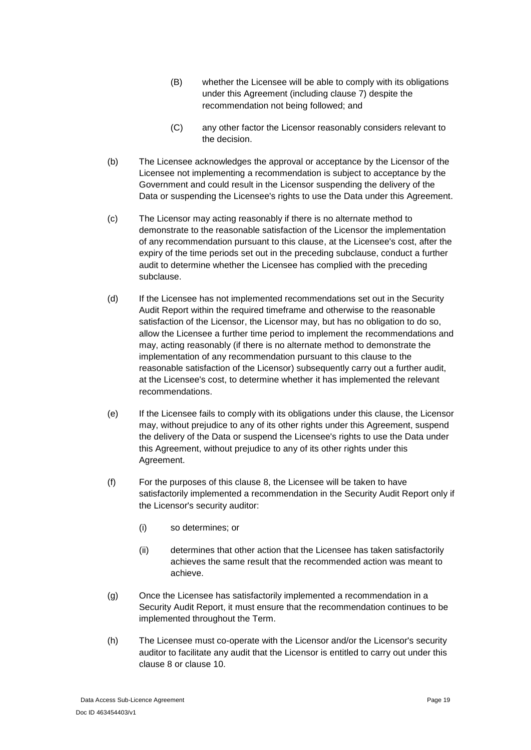- (B) whether the Licensee will be able to comply with its obligations under this Agreement (including clause [7\)](#page-15-1) despite the recommendation not being followed; and
- (C) any other factor the Licensor reasonably considers relevant to the decision.
- <span id="page-18-0"></span>(b) The Licensee acknowledges the approval or acceptance by the Licensor of the Licensee not implementing a recommendation is subject to acceptance by the Government and could result in the Licensor suspending the delivery of the Data or suspending the Licensee's rights to use the Data under this Agreement.
- (c) The Licensor may acting reasonably if there is no alternate method to demonstrate to the reasonable satisfaction of the Licensor the implementation of any recommendation pursuant to this clause, at the Licensee's cost, after the expiry of the time periods set out in the preceding subclause, conduct a further audit to determine whether the Licensee has complied with the preceding subclause.
- (d) If the Licensee has not implemented recommendations set out in the Security Audit Report within the required timeframe and otherwise to the reasonable satisfaction of the Licensor, the Licensor may, but has no obligation to do so, allow the Licensee a further time period to implement the recommendations and may, acting reasonably (if there is no alternate method to demonstrate the implementation of any recommendation pursuant to this clause to the reasonable satisfaction of the Licensor) subsequently carry out a further audit, at the Licensee's cost, to determine whether it has implemented the relevant recommendations.
- (e) If the Licensee fails to comply with its obligations under this clause, the Licensor may, without prejudice to any of its other rights under this Agreement, suspend the delivery of the Data or suspend the Licensee's rights to use the Data under this Agreement, without prejudice to any of its other rights under this Agreement.
- (f) For the purposes of this clause [8,](#page-16-1) the Licensee will be taken to have satisfactorily implemented a recommendation in the Security Audit Report only if the Licensor's security auditor:
	- (i) so determines; or
	- (ii) determines that other action that the Licensee has taken satisfactorily achieves the same result that the recommended action was meant to achieve.
- (g) Once the Licensee has satisfactorily implemented a recommendation in a Security Audit Report, it must ensure that the recommendation continues to be implemented throughout the Term.
- (h) The Licensee must co-operate with the Licensor and/or the Licensor's security auditor to facilitate any audit that the Licensor is entitled to carry out under this clause [8](#page-16-1) or clause [10.](#page-20-0)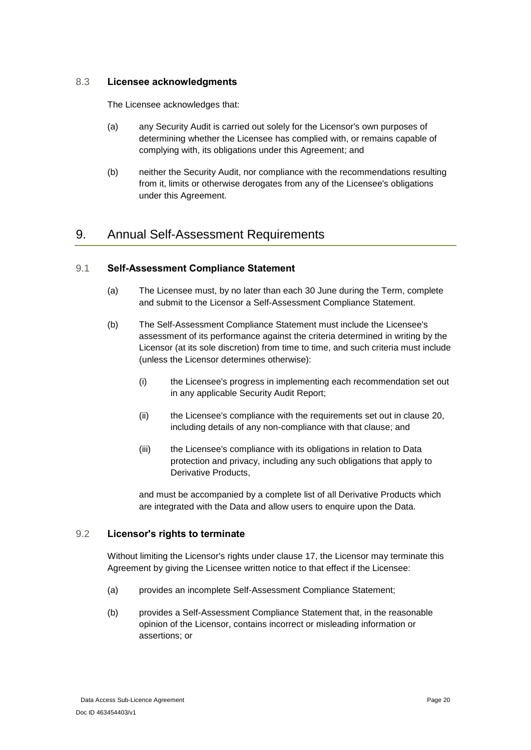### <span id="page-19-0"></span>8.3 **Licensee acknowledgments**

The Licensee acknowledges that:

- (a) any Security Audit is carried out solely for the Licensor's own purposes of determining whether the Licensee has complied with, or remains capable of complying with, its obligations under this Agreement; and
- (b) neither the Security Audit, nor compliance with the recommendations resulting from it, limits or otherwise derogates from any of the Licensee's obligations under this Agreement.

# <span id="page-19-1"></span>9. Annual Self-Assessment Requirements

### <span id="page-19-2"></span>9.1 **Self-Assessment Compliance Statement**

- (a) The Licensee must, by no later than each 30 June during the Term, complete and submit to the Licensor a Self-Assessment Compliance Statement.
- <span id="page-19-4"></span>(b) The Self-Assessment Compliance Statement must include the Licensee's assessment of its performance against the criteria determined in writing by the Licensor (at its sole discretion) from time to time, and such criteria must include (unless the Licensor determines otherwise):
	- (i) the Licensee's progress in implementing each recommendation set out in any applicable Security Audit Report;
	- (ii) the Licensee's compliance with the requirements set out in clause [20,](#page-28-2) including details of any non-compliance with that clause; and
	- (iii) the Licensee's compliance with its obligations in relation to Data protection and privacy, including any such obligations that apply to Derivative Products,

and must be accompanied by a complete list of all Derivative Products which are integrated with the Data and allow users to enquire upon the Data.

### <span id="page-19-3"></span>9.2 **Licensor's rights to terminate**

Without limiting the Licensor's rights under clause [17,](#page-26-1) the Licensor may terminate this Agreement by giving the Licensee written notice to that effect if the Licensee:

- (a) provides an incomplete Self-Assessment Compliance Statement;
- (b) provides a Self-Assessment Compliance Statement that, in the reasonable opinion of the Licensor, contains incorrect or misleading information or assertions; or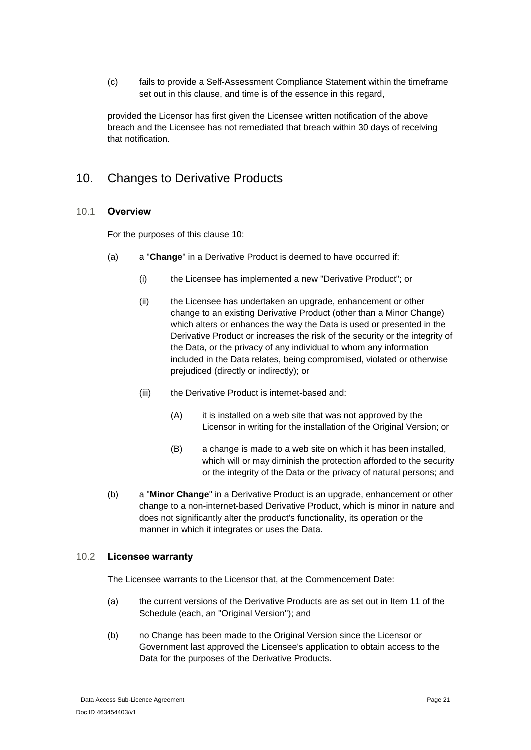(c) fails to provide a Self-Assessment Compliance Statement within the timeframe set out in this clause, and time is of the essence in this regard,

provided the Licensor has first given the Licensee written notification of the above breach and the Licensee has not remediated that breach within 30 days of receiving that notification.

# <span id="page-20-0"></span>10. Changes to Derivative Products

### <span id="page-20-1"></span>10.1 **Overview**

For the purposes of this clause [10:](#page-20-0)

- <span id="page-20-3"></span>(a) a "**Change**" in a Derivative Product is deemed to have occurred if:
	- (i) the Licensee has implemented a new "Derivative Product"; or
	- (ii) the Licensee has undertaken an upgrade, enhancement or other change to an existing Derivative Product (other than a Minor Change) which alters or enhances the way the Data is used or presented in the Derivative Product or increases the risk of the security or the integrity of the Data, or the privacy of any individual to whom any information included in the Data relates, being compromised, violated or otherwise prejudiced (directly or indirectly); or
	- (iii) the Derivative Product is internet-based and:
		- (A) it is installed on a web site that was not approved by the Licensor in writing for the installation of the Original Version; or
		- (B) a change is made to a web site on which it has been installed, which will or may diminish the protection afforded to the security or the integrity of the Data or the privacy of natural persons; and
- (b) a "**Minor Change**" in a Derivative Product is an upgrade, enhancement or other change to a non-internet-based Derivative Product, which is minor in nature and does not significantly alter the product's functionality, its operation or the manner in which it integrates or uses the Data.

### <span id="page-20-2"></span>10.2 **Licensee warranty**

The Licensee warrants to the Licensor that, at the Commencement Date:

- (a) the current versions of the Derivative Products are as set out in [Item 11](#page-42-0) of the Schedule (each, an "Original Version"); and
- (b) no Change has been made to the Original Version since the Licensor or Government last approved the Licensee's application to obtain access to the Data for the purposes of the Derivative Products.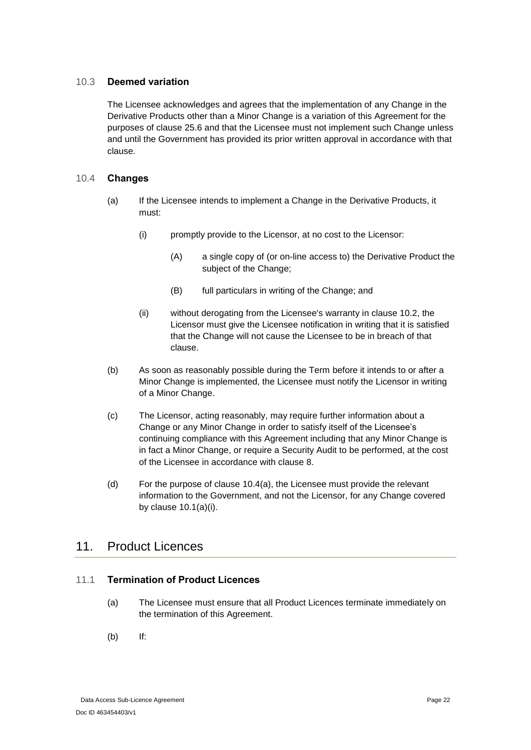### <span id="page-21-0"></span>10.3 **Deemed variation**

The Licensee acknowledges and agrees that the implementation of any Change in the Derivative Products other than a Minor Change is a variation of this Agreement for the purposes of clause [25.6](#page-35-0) and that the Licensee must not implement such Change unless and until the Government has provided its prior written approval in accordance with that clause.

### <span id="page-21-5"></span><span id="page-21-1"></span>10.4 **Changes**

- (a) If the Licensee intends to implement a Change in the Derivative Products, it must:
	- (i) promptly provide to the Licensor, at no cost to the Licensor:
		- (A) a single copy of (or on-line access to) the Derivative Product the subject of the Change;
		- (B) full particulars in writing of the Change; and
	- (ii) without derogating from the Licensee's warranty in clause [10.2,](#page-20-2) the Licensor must give the Licensee notification in writing that it is satisfied that the Change will not cause the Licensee to be in breach of that clause.
- (b) As soon as reasonably possible during the Term before it intends to or after a Minor Change is implemented, the Licensee must notify the Licensor in writing of a Minor Change.
- <span id="page-21-4"></span>(c) The Licensor, acting reasonably, may require further information about a Change or any Minor Change in order to satisfy itself of the Licensee's continuing compliance with this Agreement including that any Minor Change is in fact a Minor Change, or require a Security Audit to be performed, at the cost of the Licensee in accordance with clause 8.
- (d) For the purpose of clause [10.4](#page-21-1)[\(a\),](#page-21-5) the Licensee must provide the relevant information to the Government, and not the Licensor, for any Change covered by clause [10.1\(a\)\(i\).](#page-20-3)

## <span id="page-21-2"></span>11. Product Licences

### <span id="page-21-3"></span>11.1 **Termination of Product Licences**

- (a) The Licensee must ensure that all Product Licences terminate immediately on the termination of this Agreement.
- (b) If: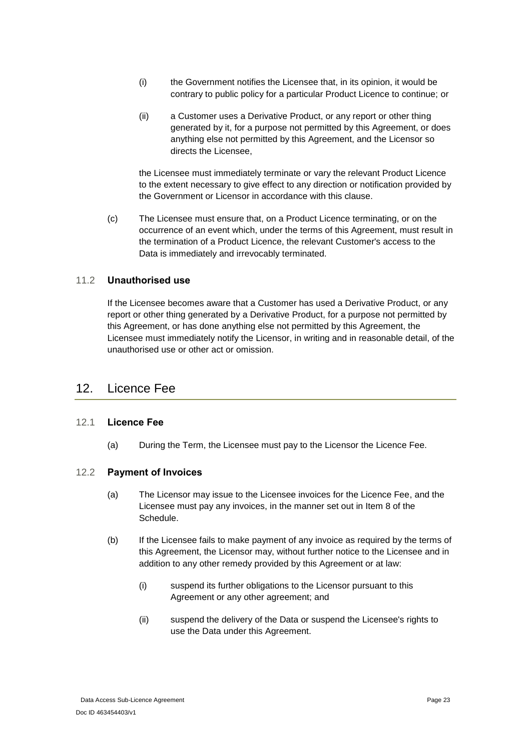- (i) the Government notifies the Licensee that, in its opinion, it would be contrary to public policy for a particular Product Licence to continue; or
- (ii) a Customer uses a Derivative Product, or any report or other thing generated by it, for a purpose not permitted by this Agreement, or does anything else not permitted by this Agreement, and the Licensor so directs the Licensee,

the Licensee must immediately terminate or vary the relevant Product Licence to the extent necessary to give effect to any direction or notification provided by the Government or Licensor in accordance with this clause.

(c) The Licensee must ensure that, on a Product Licence terminating, or on the occurrence of an event which, under the terms of this Agreement, must result in the termination of a Product Licence, the relevant Customer's access to the Data is immediately and irrevocably terminated.

### <span id="page-22-0"></span>11.2 **Unauthorised use**

If the Licensee becomes aware that a Customer has used a Derivative Product, or any report or other thing generated by a Derivative Product, for a purpose not permitted by this Agreement, or has done anything else not permitted by this Agreement, the Licensee must immediately notify the Licensor, in writing and in reasonable detail, of the unauthorised use or other act or omission.

### <span id="page-22-1"></span>12. Licence Fee

### <span id="page-22-2"></span>12.1 **Licence Fee**

(a) During the Term, the Licensee must pay to the Licensor the Licence Fee.

### <span id="page-22-3"></span>12.2 **Payment of Invoices**

- (a) The Licensor may issue to the Licensee invoices for the Licence Fee, and the Licensee must pay any invoices, in the manner set out in [Item 8](#page-41-1) of the Schedule.
- (b) If the Licensee fails to make payment of any invoice as required by the terms of this Agreement, the Licensor may, without further notice to the Licensee and in addition to any other remedy provided by this Agreement or at law:
	- (i) suspend its further obligations to the Licensor pursuant to this Agreement or any other agreement; and
	- (ii) suspend the delivery of the Data or suspend the Licensee's rights to use the Data under this Agreement.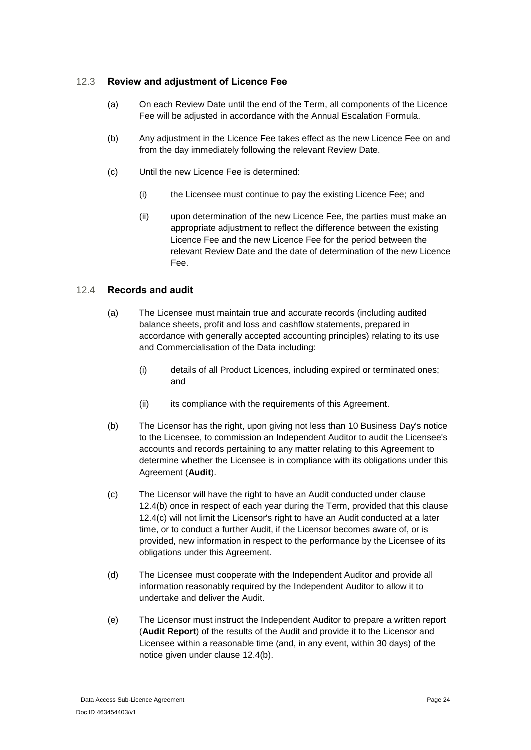### <span id="page-23-0"></span>12.3 **Review and adjustment of Licence Fee**

- (a) On each Review Date until the end of the Term, all components of the Licence Fee will be adjusted in accordance with the Annual Escalation Formula.
- (b) Any adjustment in the Licence Fee takes effect as the new Licence Fee on and from the day immediately following the relevant Review Date.
- (c) Until the new Licence Fee is determined:
	- (i) the Licensee must continue to pay the existing Licence Fee; and
	- (ii) upon determination of the new Licence Fee, the parties must make an appropriate adjustment to reflect the difference between the existing Licence Fee and the new Licence Fee for the period between the relevant Review Date and the date of determination of the new Licence Fee.

### <span id="page-23-1"></span>12.4 **Records and audit**

- (a) The Licensee must maintain true and accurate records (including audited balance sheets, profit and loss and cashflow statements, prepared in accordance with generally accepted accounting principles) relating to its use and Commercialisation of the Data including:
	- (i) details of all Product Licences, including expired or terminated ones; and
	- (ii) its compliance with the requirements of this Agreement.
- <span id="page-23-2"></span>(b) The Licensor has the right, upon giving not less than 10 Business Day's notice to the Licensee, to commission an Independent Auditor to audit the Licensee's accounts and records pertaining to any matter relating to this Agreement to determine whether the Licensee is in compliance with its obligations under this Agreement (**Audit**).
- <span id="page-23-4"></span>(c) The Licensor will have the right to have an Audit conducted under clause [12.4\(b\)](#page-23-2) once in respect of each year during the Term, provided that this clause [12.4\(c\)](#page-23-4) will not limit the Licensor's right to have an Audit conducted at a later time, or to conduct a further Audit, if the Licensor becomes aware of, or is provided, new information in respect to the performance by the Licensee of its obligations under this Agreement.
- (d) The Licensee must cooperate with the Independent Auditor and provide all information reasonably required by the Independent Auditor to allow it to undertake and deliver the Audit.
- <span id="page-23-3"></span>(e) The Licensor must instruct the Independent Auditor to prepare a written report (**Audit Report**) of the results of the Audit and provide it to the Licensor and Licensee within a reasonable time (and, in any event, within 30 days) of the notice given under clause [12.4\(b\).](#page-23-2)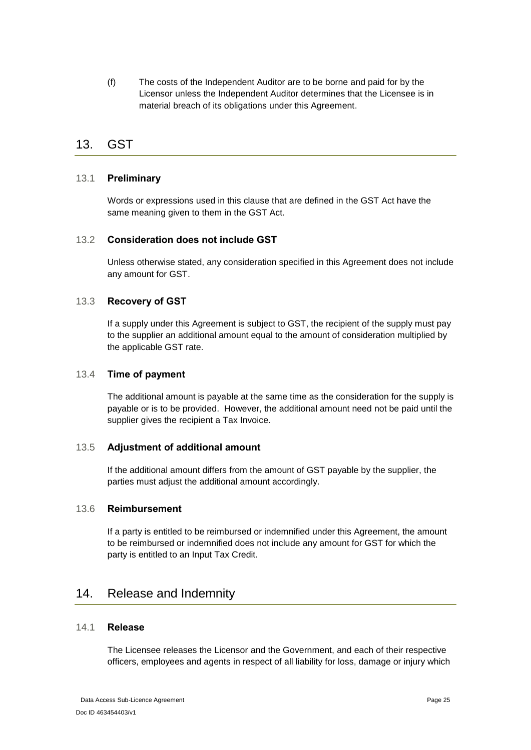(f) The costs of the Independent Auditor are to be borne and paid for by the Licensor unless the Independent Auditor determines that the Licensee is in material breach of its obligations under this Agreement.

# <span id="page-24-0"></span>13. GST

### <span id="page-24-1"></span>13.1 **Preliminary**

Words or expressions used in this clause that are defined in the GST Act have the same meaning given to them in the GST Act.

### <span id="page-24-2"></span>13.2 **Consideration does not include GST**

Unless otherwise stated, any consideration specified in this Agreement does not include any amount for GST.

### <span id="page-24-3"></span>13.3 **Recovery of GST**

If a supply under this Agreement is subject to GST, the recipient of the supply must pay to the supplier an additional amount equal to the amount of consideration multiplied by the applicable GST rate.

### <span id="page-24-4"></span>13.4 **Time of payment**

The additional amount is payable at the same time as the consideration for the supply is payable or is to be provided. However, the additional amount need not be paid until the supplier gives the recipient a Tax Invoice.

### <span id="page-24-5"></span>13.5 **Adjustment of additional amount**

If the additional amount differs from the amount of GST payable by the supplier, the parties must adjust the additional amount accordingly.

### <span id="page-24-6"></span>13.6 **Reimbursement**

If a party is entitled to be reimbursed or indemnified under this Agreement, the amount to be reimbursed or indemnified does not include any amount for GST for which the party is entitled to an Input Tax Credit.

## <span id="page-24-7"></span>14. Release and Indemnity

### <span id="page-24-8"></span>14.1 **Release**

The Licensee releases the Licensor and the Government, and each of their respective officers, employees and agents in respect of all liability for loss, damage or injury which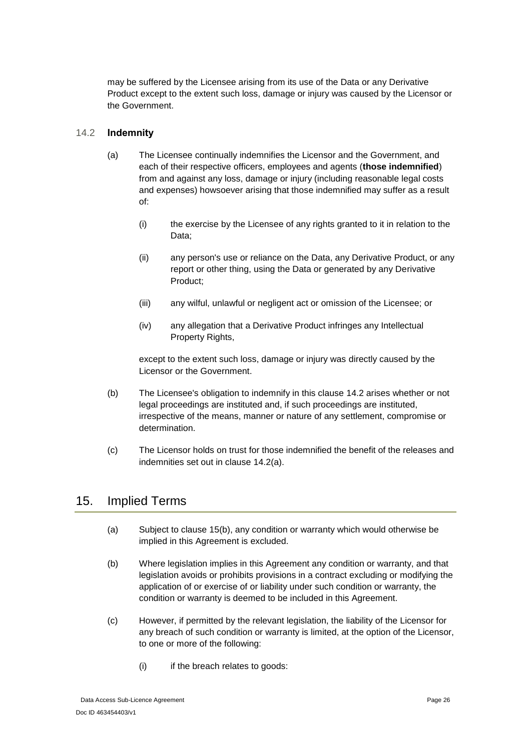may be suffered by the Licensee arising from its use of the Data or any Derivative Product except to the extent such loss, damage or injury was caused by the Licensor or the Government.

### <span id="page-25-2"></span><span id="page-25-0"></span>14.2 **Indemnity**

- (a) The Licensee continually indemnifies the Licensor and the Government, and each of their respective officers, employees and agents (**those indemnified**) from and against any loss, damage or injury (including reasonable legal costs and expenses) howsoever arising that those indemnified may suffer as a result of:
	- (i) the exercise by the Licensee of any rights granted to it in relation to the Data;
	- (ii) any person's use or reliance on the Data, any Derivative Product, or any report or other thing, using the Data or generated by any Derivative Product;
	- (iii) any wilful, unlawful or negligent act or omission of the Licensee; or
	- (iv) any allegation that a Derivative Product infringes any Intellectual Property Rights,

except to the extent such loss, damage or injury was directly caused by the Licensor or the Government.

- (b) The Licensee's obligation to indemnify in this clause [14.2](#page-25-0) arises whether or not legal proceedings are instituted and, if such proceedings are instituted, irrespective of the means, manner or nature of any settlement, compromise or determination.
- (c) The Licensor holds on trust for those indemnified the benefit of the releases and indemnities set out in clause [14.2\(a\).](#page-25-2)

## <span id="page-25-1"></span>15. Implied Terms

- (a) Subject to clause [15\(b\),](#page-25-3) any condition or warranty which would otherwise be implied in this Agreement is excluded.
- <span id="page-25-3"></span>(b) Where legislation implies in this Agreement any condition or warranty, and that legislation avoids or prohibits provisions in a contract excluding or modifying the application of or exercise of or liability under such condition or warranty, the condition or warranty is deemed to be included in this Agreement.
- (c) However, if permitted by the relevant legislation, the liability of the Licensor for any breach of such condition or warranty is limited, at the option of the Licensor, to one or more of the following:
	- (i) if the breach relates to goods: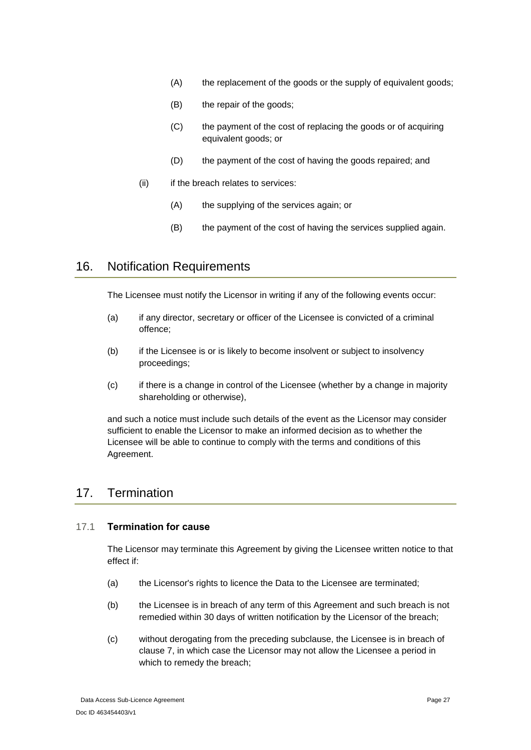- (A) the replacement of the goods or the supply of equivalent goods;
- (B) the repair of the goods;
- (C) the payment of the cost of replacing the goods or of acquiring equivalent goods; or
- (D) the payment of the cost of having the goods repaired; and
- (ii) if the breach relates to services:
	- (A) the supplying of the services again; or
	- (B) the payment of the cost of having the services supplied again.

## <span id="page-26-0"></span>16. Notification Requirements

The Licensee must notify the Licensor in writing if any of the following events occur:

- (a) if any director, secretary or officer of the Licensee is convicted of a criminal offence;
- (b) if the Licensee is or is likely to become insolvent or subject to insolvency proceedings;
- (c) if there is a change in control of the Licensee (whether by a change in majority shareholding or otherwise),

and such a notice must include such details of the event as the Licensor may consider sufficient to enable the Licensor to make an informed decision as to whether the Licensee will be able to continue to comply with the terms and conditions of this Agreement.

# <span id="page-26-1"></span>17. Termination

### <span id="page-26-2"></span>17.1 **Termination for cause**

The Licensor may terminate this Agreement by giving the Licensee written notice to that effect if:

- (a) the Licensor's rights to licence the Data to the Licensee are terminated;
- (b) the Licensee is in breach of any term of this Agreement and such breach is not remedied within 30 days of written notification by the Licensor of the breach;
- (c) without derogating from the preceding subclause, the Licensee is in breach of clause [7,](#page-15-1) in which case the Licensor may not allow the Licensee a period in which to remedy the breach;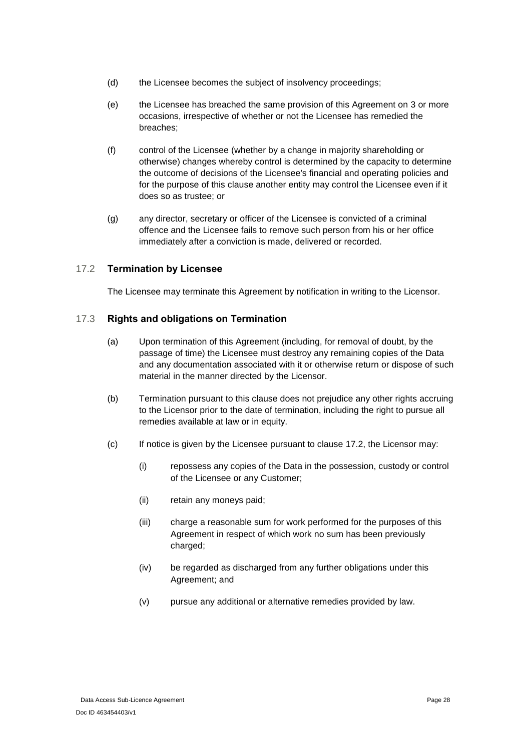- (d) the Licensee becomes the subject of insolvency proceedings;
- (e) the Licensee has breached the same provision of this Agreement on 3 or more occasions, irrespective of whether or not the Licensee has remedied the breaches;
- (f) control of the Licensee (whether by a change in majority shareholding or otherwise) changes whereby control is determined by the capacity to determine the outcome of decisions of the Licensee's financial and operating policies and for the purpose of this clause another entity may control the Licensee even if it does so as trustee; or
- (g) any director, secretary or officer of the Licensee is convicted of a criminal offence and the Licensee fails to remove such person from his or her office immediately after a conviction is made, delivered or recorded.

### <span id="page-27-0"></span>17.2 **Termination by Licensee**

The Licensee may terminate this Agreement by notification in writing to the Licensor.

### <span id="page-27-1"></span>17.3 **Rights and obligations on Termination**

- (a) Upon termination of this Agreement (including, for removal of doubt, by the passage of time) the Licensee must destroy any remaining copies of the Data and any documentation associated with it or otherwise return or dispose of such material in the manner directed by the Licensor.
- (b) Termination pursuant to this clause does not prejudice any other rights accruing to the Licensor prior to the date of termination, including the right to pursue all remedies available at law or in equity.
- (c) If notice is given by the Licensee pursuant to clause [17.2,](#page-27-0) the Licensor may:
	- (i) repossess any copies of the Data in the possession, custody or control of the Licensee or any Customer;
	- (ii) retain any moneys paid;
	- (iii) charge a reasonable sum for work performed for the purposes of this Agreement in respect of which work no sum has been previously charged;
	- (iv) be regarded as discharged from any further obligations under this Agreement; and
	- (v) pursue any additional or alternative remedies provided by law.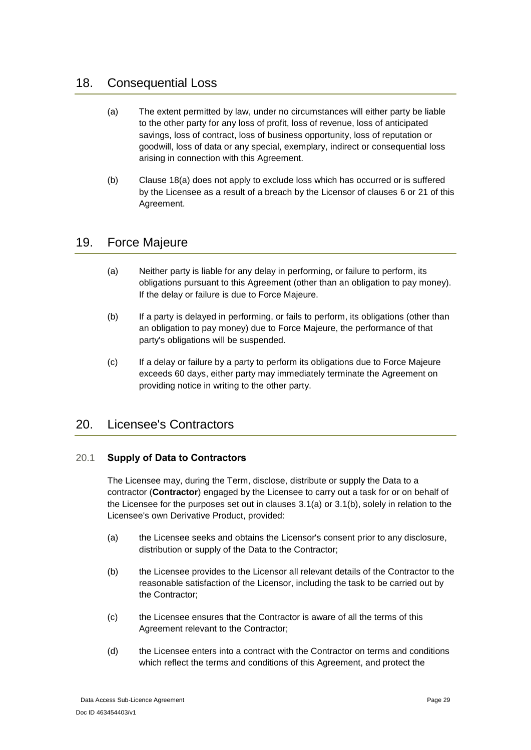# <span id="page-28-4"></span><span id="page-28-0"></span>18. Consequential Loss

- (a) The extent permitted by law, under no circumstances will either party be liable to the other party for any loss of profit, loss of revenue, loss of anticipated savings, loss of contract, loss of business opportunity, loss of reputation or goodwill, loss of data or any special, exemplary, indirect or consequential loss arising in connection with this Agreement.
- (b) Clause [18](#page-28-0)[\(a\)](#page-28-4) does not apply to exclude loss which has occurred or is suffered by the Licensee as a result of a breach by the Licensor of clauses [6](#page-14-0) or [21](#page-29-1) of this Agreement.

## <span id="page-28-1"></span>19. Force Majeure

- (a) Neither party is liable for any delay in performing, or failure to perform, its obligations pursuant to this Agreement (other than an obligation to pay money). If the delay or failure is due to Force Majeure.
- (b) If a party is delayed in performing, or fails to perform, its obligations (other than an obligation to pay money) due to Force Majeure, the performance of that party's obligations will be suspended.
- (c) If a delay or failure by a party to perform its obligations due to Force Majeure exceeds 60 days, either party may immediately terminate the Agreement on providing notice in writing to the other party.

# <span id="page-28-2"></span>20. Licensee's Contractors

### <span id="page-28-3"></span>20.1 **Supply of Data to Contractors**

The Licensee may, during the Term, disclose, distribute or supply the Data to a contractor (**Contractor**) engaged by the Licensee to carry out a task for or on behalf of the Licensee for the purposes set out in clauses [3.1\(a\)](#page-10-6) or [3.1\(b\),](#page-10-7) solely in relation to the Licensee's own Derivative Product, provided:

- (a) the Licensee seeks and obtains the Licensor's consent prior to any disclosure, distribution or supply of the Data to the Contractor;
- (b) the Licensee provides to the Licensor all relevant details of the Contractor to the reasonable satisfaction of the Licensor, including the task to be carried out by the Contractor;
- (c) the Licensee ensures that the Contractor is aware of all the terms of this Agreement relevant to the Contractor;
- (d) the Licensee enters into a contract with the Contractor on terms and conditions which reflect the terms and conditions of this Agreement, and protect the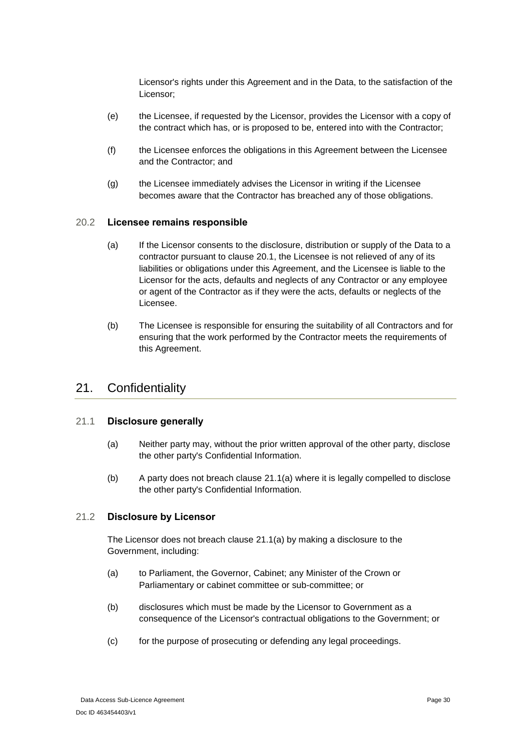Licensor's rights under this Agreement and in the Data, to the satisfaction of the Licensor;

- (e) the Licensee, if requested by the Licensor, provides the Licensor with a copy of the contract which has, or is proposed to be, entered into with the Contractor;
- (f) the Licensee enforces the obligations in this Agreement between the Licensee and the Contractor; and
- (g) the Licensee immediately advises the Licensor in writing if the Licensee becomes aware that the Contractor has breached any of those obligations.

#### <span id="page-29-0"></span>20.2 **Licensee remains responsible**

- (a) If the Licensor consents to the disclosure, distribution or supply of the Data to a contractor pursuant to clause [20.1,](#page-28-3) the Licensee is not relieved of any of its liabilities or obligations under this Agreement, and the Licensee is liable to the Licensor for the acts, defaults and neglects of any Contractor or any employee or agent of the Contractor as if they were the acts, defaults or neglects of the Licensee.
- (b) The Licensee is responsible for ensuring the suitability of all Contractors and for ensuring that the work performed by the Contractor meets the requirements of this Agreement.

### <span id="page-29-1"></span>21. Confidentiality

### <span id="page-29-4"></span><span id="page-29-2"></span>21.1 **Disclosure generally**

- (a) Neither party may, without the prior written approval of the other party, disclose the other party's Confidential Information.
- (b) A party does not breach clause [21.1\(a\)](#page-29-4) where it is legally compelled to disclose the other party's Confidential Information.

#### <span id="page-29-3"></span>21.2 **Disclosure by Licensor**

The Licensor does not breach clause [21.1\(a\)](#page-29-4) by making a disclosure to the Government, including:

- (a) to Parliament, the Governor, Cabinet; any Minister of the Crown or Parliamentary or cabinet committee or sub-committee; or
- (b) disclosures which must be made by the Licensor to Government as a consequence of the Licensor's contractual obligations to the Government; or
- (c) for the purpose of prosecuting or defending any legal proceedings.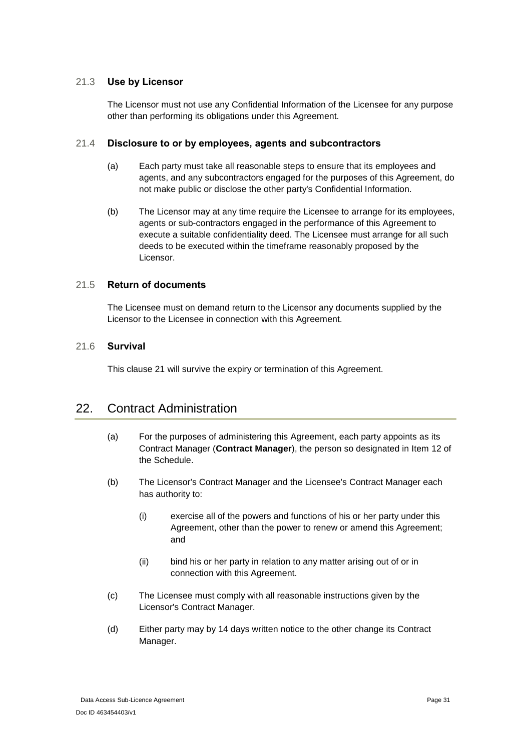### <span id="page-30-0"></span>21.3 **Use by Licensor**

The Licensor must not use any Confidential Information of the Licensee for any purpose other than performing its obligations under this Agreement.

### <span id="page-30-1"></span>21.4 **Disclosure to or by employees, agents and subcontractors**

- (a) Each party must take all reasonable steps to ensure that its employees and agents, and any subcontractors engaged for the purposes of this Agreement, do not make public or disclose the other party's Confidential Information.
- (b) The Licensor may at any time require the Licensee to arrange for its employees, agents or sub-contractors engaged in the performance of this Agreement to execute a suitable confidentiality deed. The Licensee must arrange for all such deeds to be executed within the timeframe reasonably proposed by the Licensor.

### <span id="page-30-2"></span>21.5 **Return of documents**

The Licensee must on demand return to the Licensor any documents supplied by the Licensor to the Licensee in connection with this Agreement.

### <span id="page-30-3"></span>21.6 **Survival**

This clause [21](#page-29-1) will survive the expiry or termination of this Agreement.

## <span id="page-30-4"></span>22. Contract Administration

- (a) For the purposes of administering this Agreement, each party appoints as its Contract Manager (**Contract Manager**), the person so designated in [Item 12](#page-43-0) of the Schedule.
- (b) The Licensor's Contract Manager and the Licensee's Contract Manager each has authority to:
	- (i) exercise all of the powers and functions of his or her party under this Agreement, other than the power to renew or amend this Agreement; and
	- (ii) bind his or her party in relation to any matter arising out of or in connection with this Agreement.
- (c) The Licensee must comply with all reasonable instructions given by the Licensor's Contract Manager.
- (d) Either party may by 14 days written notice to the other change its Contract Manager.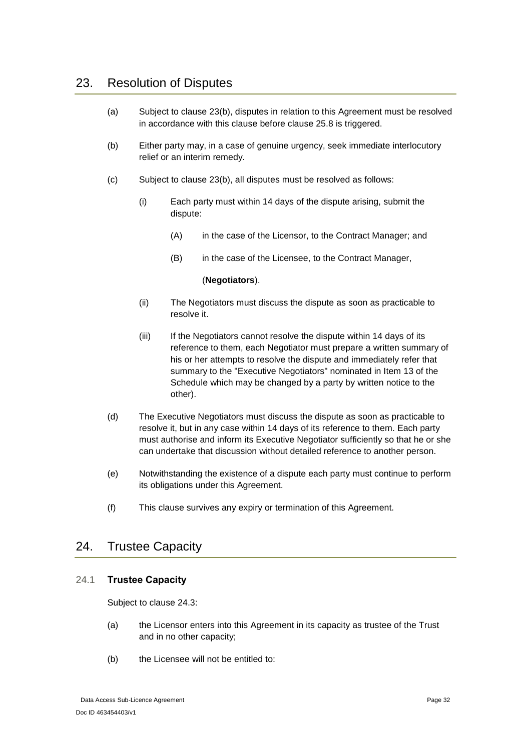# <span id="page-31-0"></span>23. Resolution of Disputes

- (a) Subject to clause [23](#page-31-0)[\(b\),](#page-31-3) disputes in relation to this Agreement must be resolved in accordance with this clause before clause [25.8](#page-35-2) is triggered.
- <span id="page-31-3"></span>(b) Either party may, in a case of genuine urgency, seek immediate interlocutory relief or an interim remedy.
- (c) Subject to clause [23\(b\),](#page-31-3) all disputes must be resolved as follows:
	- (i) Each party must within 14 days of the dispute arising, submit the dispute:
		- (A) in the case of the Licensor, to the Contract Manager; and
		- (B) in the case of the Licensee, to the Contract Manager,

#### (**Negotiators**).

- (ii) The Negotiators must discuss the dispute as soon as practicable to resolve it.
- (iii) If the Negotiators cannot resolve the dispute within 14 days of its reference to them, each Negotiator must prepare a written summary of his or her attempts to resolve the dispute and immediately refer that summary to the "Executive Negotiators" nominated in [Item 13](#page-43-1) of the Schedule which may be changed by a party by written notice to the other).
- (d) The Executive Negotiators must discuss the dispute as soon as practicable to resolve it, but in any case within 14 days of its reference to them. Each party must authorise and inform its Executive Negotiator sufficiently so that he or she can undertake that discussion without detailed reference to another person.
- (e) Notwithstanding the existence of a dispute each party must continue to perform its obligations under this Agreement.
- (f) This clause survives any expiry or termination of this Agreement.

## <span id="page-31-1"></span>24. Trustee Capacity

### <span id="page-31-2"></span>24.1 **Trustee Capacity**

Subject to clause [24.3:](#page-32-1)

- (a) the Licensor enters into this Agreement in its capacity as trustee of the Trust and in no other capacity;
- (b) the Licensee will not be entitled to: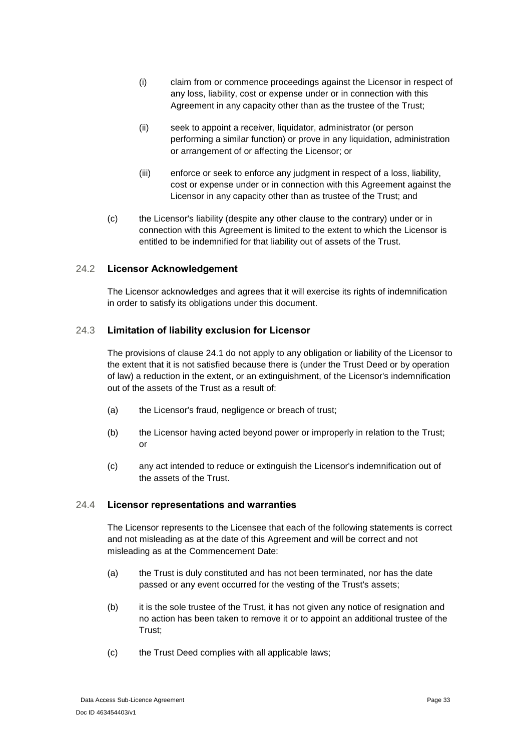- (i) claim from or commence proceedings against the Licensor in respect of any loss, liability, cost or expense under or in connection with this Agreement in any capacity other than as the trustee of the Trust;
- (ii) seek to appoint a receiver, liquidator, administrator (or person performing a similar function) or prove in any liquidation, administration or arrangement of or affecting the Licensor; or
- (iii) enforce or seek to enforce any judgment in respect of a loss, liability, cost or expense under or in connection with this Agreement against the Licensor in any capacity other than as trustee of the Trust; and
- (c) the Licensor's liability (despite any other clause to the contrary) under or in connection with this Agreement is limited to the extent to which the Licensor is entitled to be indemnified for that liability out of assets of the Trust.

### <span id="page-32-0"></span>24.2 **Licensor Acknowledgement**

The Licensor acknowledges and agrees that it will exercise its rights of indemnification in order to satisfy its obligations under this document.

### <span id="page-32-1"></span>24.3 **Limitation of liability exclusion for Licensor**

The provisions of clause [24.1](#page-31-2) do not apply to any obligation or liability of the Licensor to the extent that it is not satisfied because there is (under the Trust Deed or by operation of law) a reduction in the extent, or an extinguishment, of the Licensor's indemnification out of the assets of the Trust as a result of:

- (a) the Licensor's fraud, negligence or breach of trust;
- (b) the Licensor having acted beyond power or improperly in relation to the Trust; or
- (c) any act intended to reduce or extinguish the Licensor's indemnification out of the assets of the Trust.

### <span id="page-32-2"></span>24.4 **Licensor representations and warranties**

The Licensor represents to the Licensee that each of the following statements is correct and not misleading as at the date of this Agreement and will be correct and not misleading as at the Commencement Date:

- (a) the Trust is duly constituted and has not been terminated, nor has the date passed or any event occurred for the vesting of the Trust's assets;
- (b) it is the sole trustee of the Trust, it has not given any notice of resignation and no action has been taken to remove it or to appoint an additional trustee of the Trust;
- (c) the Trust Deed complies with all applicable laws;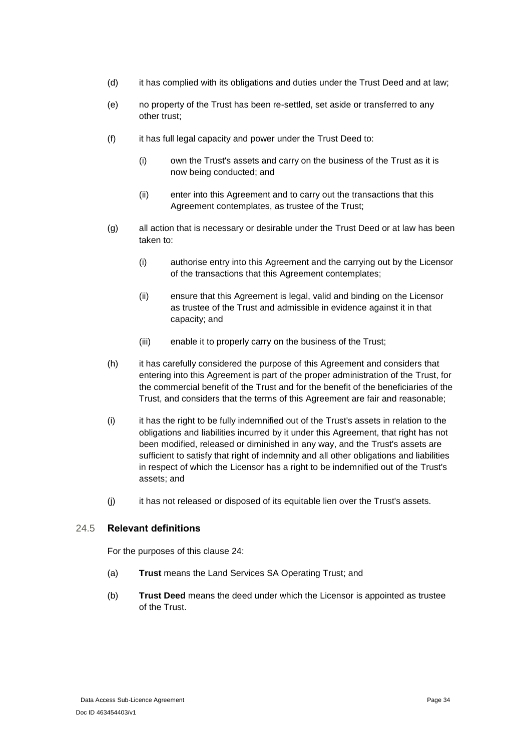- (d) it has complied with its obligations and duties under the Trust Deed and at law;
- (e) no property of the Trust has been re-settled, set aside or transferred to any other trust;
- (f) it has full legal capacity and power under the Trust Deed to:
	- (i) own the Trust's assets and carry on the business of the Trust as it is now being conducted; and
	- (ii) enter into this Agreement and to carry out the transactions that this Agreement contemplates, as trustee of the Trust;
- (g) all action that is necessary or desirable under the Trust Deed or at law has been taken to:
	- (i) authorise entry into this Agreement and the carrying out by the Licensor of the transactions that this Agreement contemplates;
	- (ii) ensure that this Agreement is legal, valid and binding on the Licensor as trustee of the Trust and admissible in evidence against it in that capacity; and
	- (iii) enable it to properly carry on the business of the Trust;
- (h) it has carefully considered the purpose of this Agreement and considers that entering into this Agreement is part of the proper administration of the Trust, for the commercial benefit of the Trust and for the benefit of the beneficiaries of the Trust, and considers that the terms of this Agreement are fair and reasonable;
- (i) it has the right to be fully indemnified out of the Trust's assets in relation to the obligations and liabilities incurred by it under this Agreement, that right has not been modified, released or diminished in any way, and the Trust's assets are sufficient to satisfy that right of indemnity and all other obligations and liabilities in respect of which the Licensor has a right to be indemnified out of the Trust's assets; and
- (j) it has not released or disposed of its equitable lien over the Trust's assets.

### <span id="page-33-0"></span>24.5 **Relevant definitions**

For the purposes of this clause [24:](#page-31-1)

- (a) **Trust** means the Land Services SA Operating Trust; and
- (b) **Trust Deed** means the deed under which the Licensor is appointed as trustee of the Trust.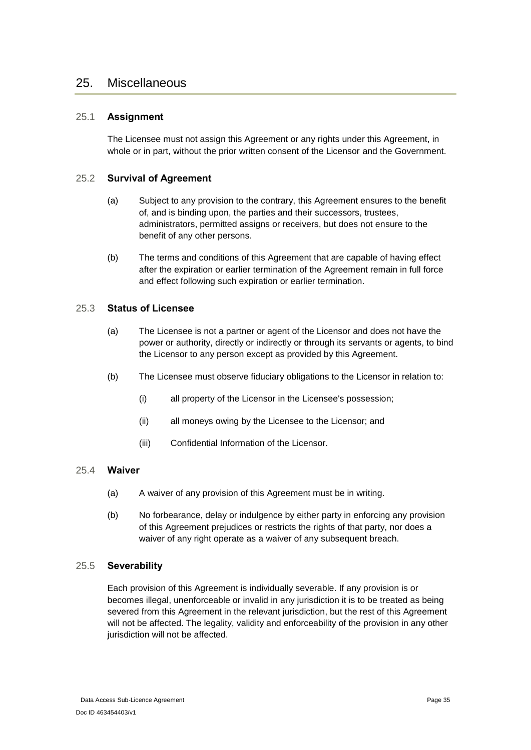### <span id="page-34-0"></span>25. Miscellaneous

### <span id="page-34-1"></span>25.1 **Assignment**

The Licensee must not assign this Agreement or any rights under this Agreement, in whole or in part, without the prior written consent of the Licensor and the Government.

### <span id="page-34-2"></span>25.2 **Survival of Agreement**

- (a) Subject to any provision to the contrary, this Agreement ensures to the benefit of, and is binding upon, the parties and their successors, trustees, administrators, permitted assigns or receivers, but does not ensure to the benefit of any other persons.
- (b) The terms and conditions of this Agreement that are capable of having effect after the expiration or earlier termination of the Agreement remain in full force and effect following such expiration or earlier termination.

### <span id="page-34-3"></span>25.3 **Status of Licensee**

- (a) The Licensee is not a partner or agent of the Licensor and does not have the power or authority, directly or indirectly or through its servants or agents, to bind the Licensor to any person except as provided by this Agreement.
- (b) The Licensee must observe fiduciary obligations to the Licensor in relation to:
	- (i) all property of the Licensor in the Licensee's possession;
	- (ii) all moneys owing by the Licensee to the Licensor; and
	- (iii) Confidential Information of the Licensor.

### <span id="page-34-4"></span>25.4 **Waiver**

- (a) A waiver of any provision of this Agreement must be in writing.
- (b) No forbearance, delay or indulgence by either party in enforcing any provision of this Agreement prejudices or restricts the rights of that party, nor does a waiver of any right operate as a waiver of any subsequent breach.

### <span id="page-34-5"></span>25.5 **Severability**

Each provision of this Agreement is individually severable. If any provision is or becomes illegal, unenforceable or invalid in any jurisdiction it is to be treated as being severed from this Agreement in the relevant jurisdiction, but the rest of this Agreement will not be affected. The legality, validity and enforceability of the provision in any other jurisdiction will not be affected.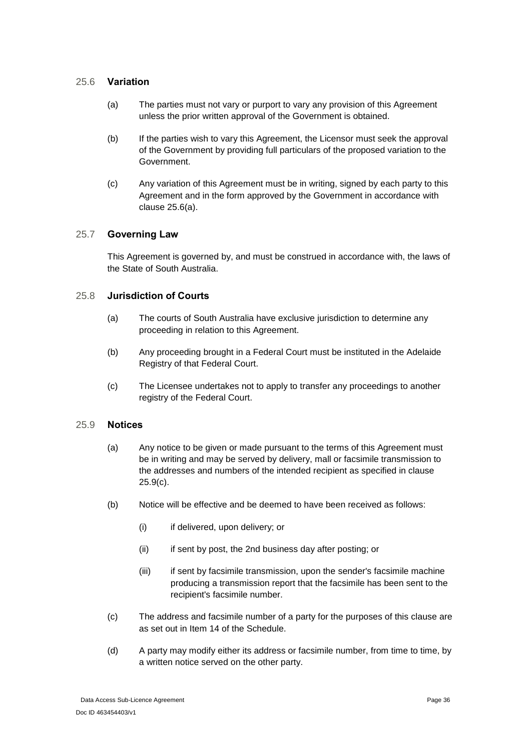### <span id="page-35-4"></span><span id="page-35-0"></span>25.6 **Variation**

- (a) The parties must not vary or purport to vary any provision of this Agreement unless the prior written approval of the Government is obtained.
- (b) If the parties wish to vary this Agreement, the Licensor must seek the approval of the Government by providing full particulars of the proposed variation to the Government.
- (c) Any variation of this Agreement must be in writing, signed by each party to this Agreement and in the form approved by the Government in accordance with clause [25.6\(a\).](#page-35-4)

### <span id="page-35-1"></span>25.7 **Governing Law**

This Agreement is governed by, and must be construed in accordance with, the laws of the State of South Australia.

### <span id="page-35-2"></span>25.8 **Jurisdiction of Courts**

- (a) The courts of South Australia have exclusive jurisdiction to determine any proceeding in relation to this Agreement.
- (b) Any proceeding brought in a Federal Court must be instituted in the Adelaide Registry of that Federal Court.
- (c) The Licensee undertakes not to apply to transfer any proceedings to another registry of the Federal Court.

### <span id="page-35-3"></span>25.9 **Notices**

- (a) Any notice to be given or made pursuant to the terms of this Agreement must be in writing and may be served by delivery, mall or facsimile transmission to the addresses and numbers of the intended recipient as specified in clause [25.9\(c\).](#page-35-5)
- (b) Notice will be effective and be deemed to have been received as follows:
	- (i) if delivered, upon delivery; or
	- (ii) if sent by post, the 2nd business day after posting; or
	- (iii) if sent by facsimile transmission, upon the sender's facsimile machine producing a transmission report that the facsimile has been sent to the recipient's facsimile number.
- <span id="page-35-5"></span>(c) The address and facsimile number of a party for the purposes of this clause are as set out in [Item 14](#page-43-2) of the Schedule.
- (d) A party may modify either its address or facsimile number, from time to time, by a written notice served on the other party.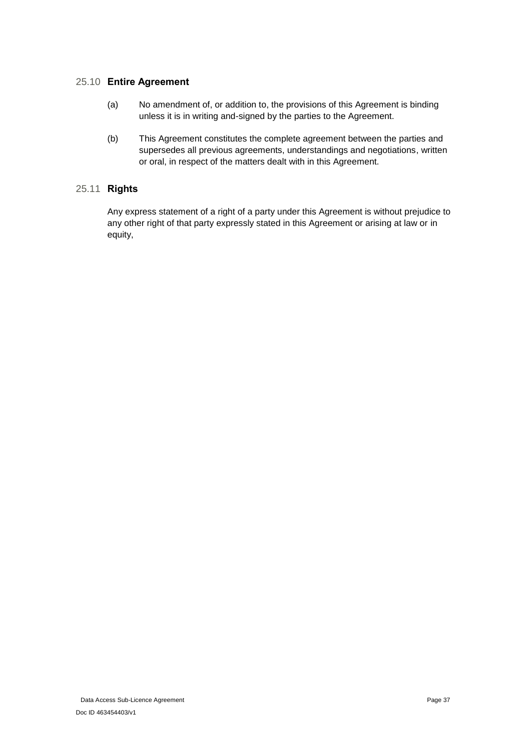### <span id="page-36-0"></span>25.10 **Entire Agreement**

- (a) No amendment of, or addition to, the provisions of this Agreement is binding unless it is in writing and-signed by the parties to the Agreement.
- (b) This Agreement constitutes the complete agreement between the parties and supersedes all previous agreements, understandings and negotiations, written or oral, in respect of the matters dealt with in this Agreement.

### <span id="page-36-1"></span>25.11 **Rights**

Any express statement of a right of a party under this Agreement is without prejudice to any other right of that party expressly stated in this Agreement or arising at law or in equity,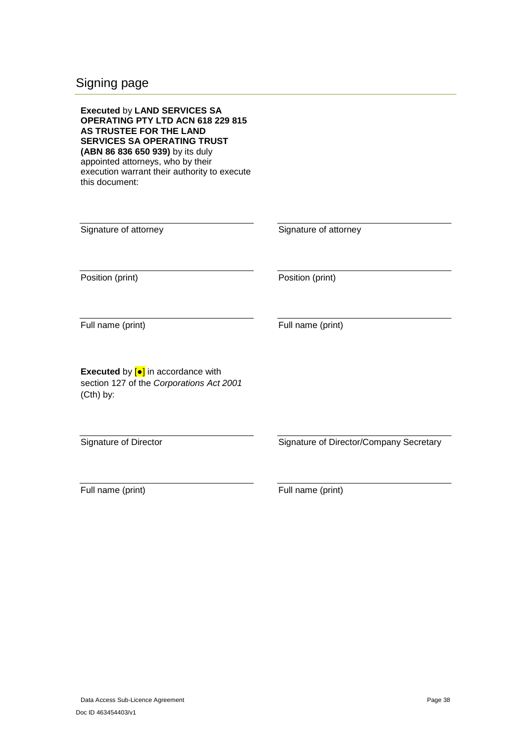# <span id="page-37-0"></span>Signing page

| <b>Executed by LAND SERVICES SA</b><br>OPERATING PTY LTD ACN 618 229 815<br>AS TRUSTEE FOR THE LAND<br><b>SERVICES SA OPERATING TRUST</b><br>(ABN 86 836 650 939) by its duly<br>appointed attorneys, who by their<br>execution warrant their authority to execute<br>this document: |                                         |
|--------------------------------------------------------------------------------------------------------------------------------------------------------------------------------------------------------------------------------------------------------------------------------------|-----------------------------------------|
| Signature of attorney                                                                                                                                                                                                                                                                | Signature of attorney                   |
| Position (print)                                                                                                                                                                                                                                                                     | Position (print)                        |
| Full name (print)                                                                                                                                                                                                                                                                    | Full name (print)                       |
| <b>Executed</b> by $\left[\bullet\right]$ in accordance with<br>section 127 of the Corporations Act 2001<br>(Cth) by:                                                                                                                                                                |                                         |
| <b>Signature of Director</b>                                                                                                                                                                                                                                                         | Signature of Director/Company Secretary |
| Full name (print)                                                                                                                                                                                                                                                                    | Full name (print)                       |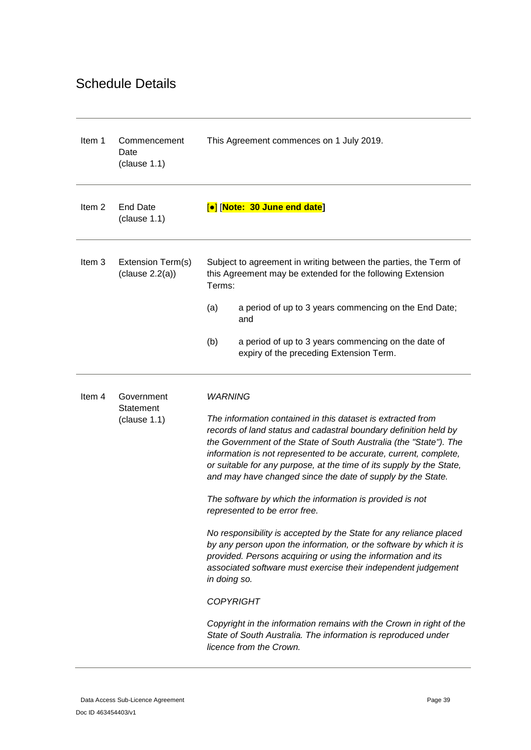# <span id="page-38-0"></span>Schedule Details

<span id="page-38-4"></span><span id="page-38-3"></span><span id="page-38-2"></span><span id="page-38-1"></span>

| Item 1            | Commencement<br>Date<br>clause 1.1) | This Agreement commences on 1 July 2019.                                                                                                                                                                                                                                                                                                                                                                         |
|-------------------|-------------------------------------|------------------------------------------------------------------------------------------------------------------------------------------------------------------------------------------------------------------------------------------------------------------------------------------------------------------------------------------------------------------------------------------------------------------|
| Item <sub>2</sub> | <b>End Date</b><br>clause 1.1)      | [•] [Note: 30 June end date]                                                                                                                                                                                                                                                                                                                                                                                     |
| Item 3            | Extension Term(s)<br>clause 2.2(a)  | Subject to agreement in writing between the parties, the Term of<br>this Agreement may be extended for the following Extension<br>Terms:                                                                                                                                                                                                                                                                         |
|                   |                                     | (a)<br>a period of up to 3 years commencing on the End Date;<br>and                                                                                                                                                                                                                                                                                                                                              |
|                   |                                     | (b)<br>a period of up to 3 years commencing on the date of<br>expiry of the preceding Extension Term.                                                                                                                                                                                                                                                                                                            |
| Item <sub>4</sub> | Government<br>Statement             | <b>WARNING</b>                                                                                                                                                                                                                                                                                                                                                                                                   |
|                   | clause 1.1)                         | The information contained in this dataset is extracted from<br>records of land status and cadastral boundary definition held by<br>the Government of the State of South Australia (the "State"). The<br>information is not represented to be accurate, current, complete,<br>or suitable for any purpose, at the time of its supply by the State,<br>and may have changed since the date of supply by the State. |
|                   |                                     | The software by which the information is provided is not<br>represented to be error free.                                                                                                                                                                                                                                                                                                                        |
|                   |                                     | No responsibility is accepted by the State for any reliance placed<br>by any person upon the information, or the software by which it is<br>provided. Persons acquiring or using the information and its<br>associated software must exercise their independent judgement<br>in doing so.                                                                                                                        |
|                   |                                     | <b>COPYRIGHT</b>                                                                                                                                                                                                                                                                                                                                                                                                 |
|                   |                                     | Copyright in the information remains with the Crown in right of the<br>State of South Australia. The information is reproduced under<br>licence from the Crown.                                                                                                                                                                                                                                                  |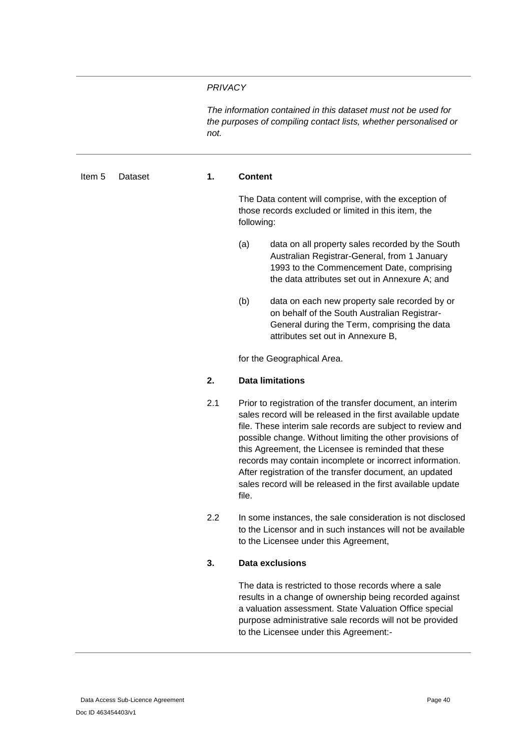#### *PRIVACY*

*The information contained in this dataset must not be used for the purposes of compiling contact lists, whether personalised or not.*

#### <span id="page-39-0"></span>Item 5 Dataset **1. Content**

The Data content will comprise, with the exception of those records excluded or limited in this item, the following:

- (a) data on all property sales recorded by the South Australian Registrar-General, from 1 January 1993 to the Commencement Date, comprising the data attributes set out in [Annexure A;](#page-44-0) and
- (b) data on each new property sale recorded by or on behalf of the South Australian Registrar-General during the Term, comprising the data attributes set out in [Annexure B,](#page-45-0)

for the Geographical Area.

#### **2. Data limitations**

- 2.1 Prior to registration of the transfer document, an interim sales record will be released in the first available update file. These interim sale records are subject to review and possible change. Without limiting the other provisions of this Agreement, the Licensee is reminded that these records may contain incomplete or incorrect information. After registration of the transfer document, an updated sales record will be released in the first available update file.
- 2.2 In some instances, the sale consideration is not disclosed to the Licensor and in such instances will not be available to the Licensee under this Agreement,

#### **3. Data exclusions**

The data is restricted to those records where a sale results in a change of ownership being recorded against a valuation assessment. State Valuation Office special purpose administrative sale records will not be provided to the Licensee under this Agreement:-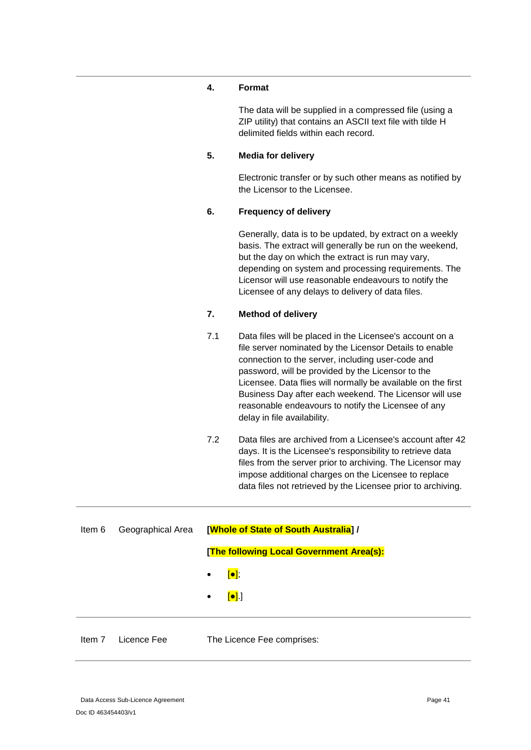#### **4. Format**

The data will be supplied in a compressed file (using a ZIP utility) that contains an ASCII text file with tilde H delimited fields within each record.

### **5. Media for delivery**

Electronic transfer or by such other means as notified by the Licensor to the Licensee.

#### **6. Frequency of delivery**

Generally, data is to be updated, by extract on a weekly basis. The extract will generally be run on the weekend, but the day on which the extract is run may vary, depending on system and processing requirements. The Licensor will use reasonable endeavours to notify the Licensee of any delays to delivery of data files.

### **7. Method of delivery**

- 7.1 Data files will be placed in the Licensee's account on a file server nominated by the Licensor Details to enable connection to the server, including user-code and password, will be provided by the Licensor to the Licensee. Data flies will normally be available on the first Business Day after each weekend. The Licensor will use reasonable endeavours to notify the Licensee of any delay in file availability.
- 7.2 Data files are archived from a Licensee's account after 42 days. It is the Licensee's responsibility to retrieve data files from the server prior to archiving. The Licensor may impose additional charges on the Licensee to replace data files not retrieved by the Licensee prior to archiving.

<span id="page-40-0"></span>

| ltem 6 | Geographical Area | [Whole of State of South Australia] /               |
|--------|-------------------|-----------------------------------------------------|
|        |                   | [The following Local Government Area(s):            |
|        |                   | $\bullet$ $\boxed{\bullet}$ ;                       |
|        |                   | $\left[\bullet\right]$ $\left.\right]$<br>$\bullet$ |
|        |                   |                                                     |
| Item 7 | Licence Fee       | The Licence Fee comprises:                          |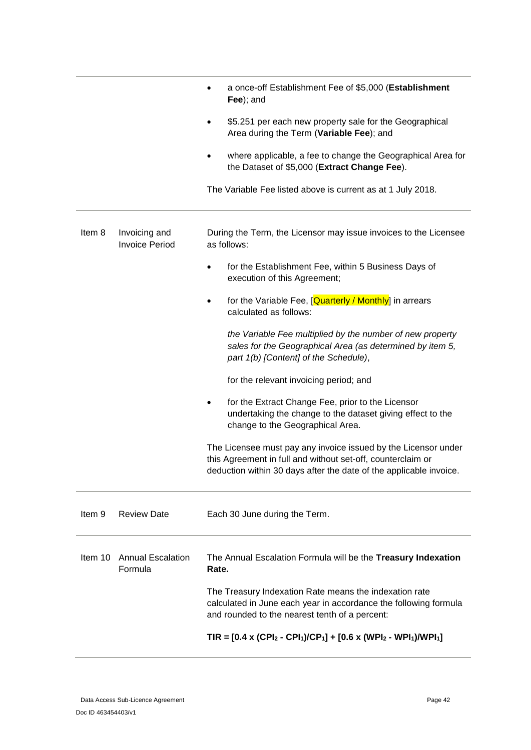<span id="page-41-1"></span><span id="page-41-0"></span>

|         |                                        | a once-off Establishment Fee of \$5,000 (Establishment<br>Fee); and                                                                                                                                 |
|---------|----------------------------------------|-----------------------------------------------------------------------------------------------------------------------------------------------------------------------------------------------------|
|         |                                        | \$5.251 per each new property sale for the Geographical<br>Area during the Term (Variable Fee); and                                                                                                 |
|         |                                        | where applicable, a fee to change the Geographical Area for<br>the Dataset of \$5,000 (Extract Change Fee).                                                                                         |
|         |                                        | The Variable Fee listed above is current as at 1 July 2018.                                                                                                                                         |
| Item 8  | Invoicing and<br><b>Invoice Period</b> | During the Term, the Licensor may issue invoices to the Licensee<br>as follows:                                                                                                                     |
|         |                                        | for the Establishment Fee, within 5 Business Days of<br>execution of this Agreement;                                                                                                                |
|         |                                        | for the Variable Fee, [Quarterly / Monthly] in arrears<br>$\bullet$<br>calculated as follows:                                                                                                       |
|         |                                        | the Variable Fee multiplied by the number of new property<br>sales for the Geographical Area (as determined by item 5,<br>part 1(b) [Content] of the Schedule),                                     |
|         |                                        | for the relevant invoicing period; and                                                                                                                                                              |
|         |                                        | for the Extract Change Fee, prior to the Licensor<br>$\bullet$<br>undertaking the change to the dataset giving effect to the<br>change to the Geographical Area.                                    |
|         |                                        | The Licensee must pay any invoice issued by the Licensor under<br>this Agreement in full and without set-off, counterclaim or<br>deduction within 30 days after the date of the applicable invoice. |
| Item 9  | <b>Review Date</b>                     | Each 30 June during the Term.                                                                                                                                                                       |
| Item 10 | <b>Annual Escalation</b><br>Formula    | The Annual Escalation Formula will be the Treasury Indexation<br>Rate.                                                                                                                              |
|         |                                        | The Treasury Indexation Rate means the indexation rate<br>calculated in June each year in accordance the following formula<br>and rounded to the nearest tenth of a percent:                        |
|         |                                        | TIR = $[0.4 \times (CPI_2 - CPI_1)/CP_1] + [0.6 \times (WPI_2 - WPI_1)/WPI_1]$                                                                                                                      |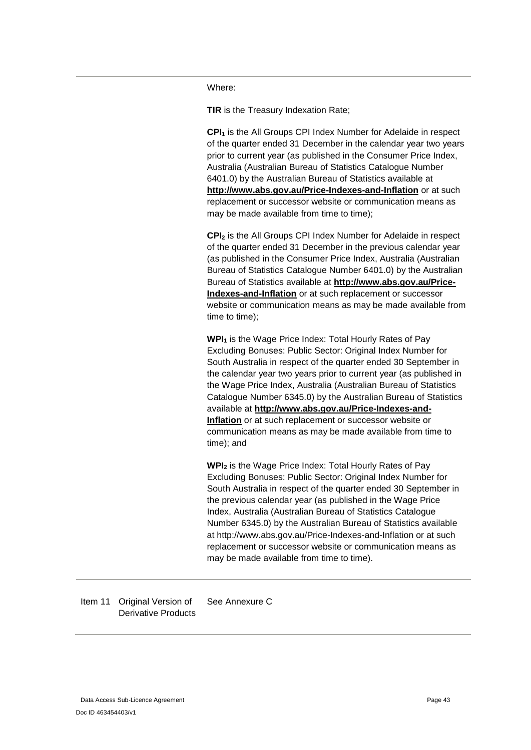Where:

**TIR** is the Treasury Indexation Rate;

**CPI<sup>1</sup>** is the All Groups CPI Index Number for Adelaide in respect of the quarter ended 31 December in the calendar year two years prior to current year (as published in the Consumer Price Index, Australia (Australian Bureau of Statistics Catalogue Number 6401.0) by the Australian Bureau of Statistics available at **<http://www.abs.gov.au/Price-Indexes-and-Inflation>** or at such replacement or successor website or communication means as may be made available from time to time);

**CPI<sup>2</sup>** is the All Groups CPI Index Number for Adelaide in respect of the quarter ended 31 December in the previous calendar year (as published in the Consumer Price Index, Australia (Australian Bureau of Statistics Catalogue Number 6401.0) by the Australian Bureau of Statistics available at **[http://www.abs.gov.au/Price-](http://www.abs.gov.au/Price-Indexes-and-Inflation)[Indexes-and-Inflation](http://www.abs.gov.au/Price-Indexes-and-Inflation)** or at such replacement or successor website or communication means as may be made available from time to time);

**WPI<sup>1</sup>** is the Wage Price Index: Total Hourly Rates of Pay Excluding Bonuses: Public Sector: Original Index Number for South Australia in respect of the quarter ended 30 September in the calendar year two years prior to current year (as published in the Wage Price Index, Australia (Australian Bureau of Statistics Catalogue Number 6345.0) by the Australian Bureau of Statistics available at **[http://www.abs.gov.au/Price-Indexes-and-](http://www.abs.gov.au/Price-Indexes-and-Inflation)[Inflation](http://www.abs.gov.au/Price-Indexes-and-Inflation)** or at such replacement or successor website or communication means as may be made available from time to time); and

**WPI<sup>2</sup>** is the Wage Price Index: Total Hourly Rates of Pay Excluding Bonuses: Public Sector: Original Index Number for South Australia in respect of the quarter ended 30 September in the previous calendar year (as published in the Wage Price Index, Australia (Australian Bureau of Statistics Catalogue Number 6345.0) by the Australian Bureau of Statistics available at http://www.abs.gov.au/Price-Indexes-and-Inflation or at such replacement or successor website or communication means as may be made available from time to time).

<span id="page-42-0"></span>Item 11 Original Version of Derivative Products See Annexure C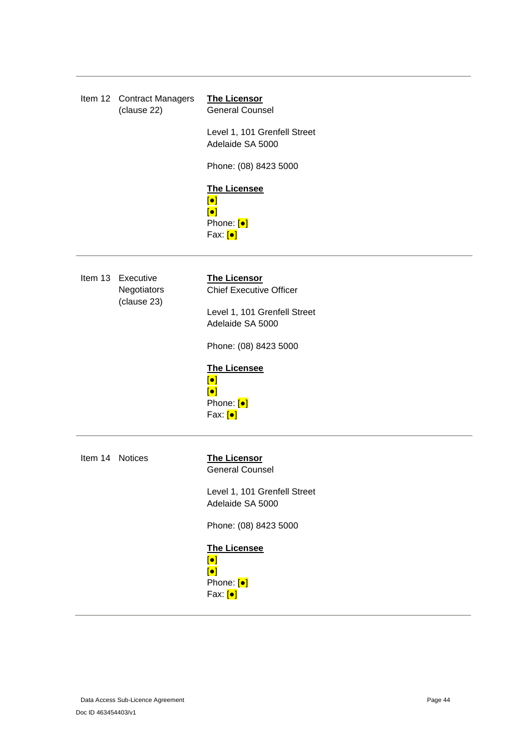<span id="page-43-0"></span>

| Item 12 Contract Managers<br>(clause 22) | <b>The Licensor</b><br><b>General Counsel</b>                                                                 |
|------------------------------------------|---------------------------------------------------------------------------------------------------------------|
|                                          | Level 1, 101 Grenfell Street<br>Adelaide SA 5000                                                              |
|                                          | Phone: (08) 8423 5000                                                                                         |
|                                          | <b>The Licensee</b><br>$\left[\bullet\right]$<br>$\left[\bullet\right]$<br>Phone: [•]<br>Fax: [ <sup>o]</sup> |
| Item 13 Executive                        | <b>The Licensor</b>                                                                                           |

<span id="page-43-1"></span>**Negotiators** (clause [23\)](#page-31-0) Chief Executive Officer Level 1, 101 Grenfell Street Adelaide SA 5000 Phone: (08) 8423 5000 **The Licensee** [●] [●] Phone: [●] Fax: [●] Item 14 Notices **The Licensor** General Counsel Level 1, 101 Grenfell Street Adelaide SA 5000

<span id="page-43-2"></span>Phone: (08) 8423 5000

**The Licensee** [●] [●] Phone: [•] Fax: [●]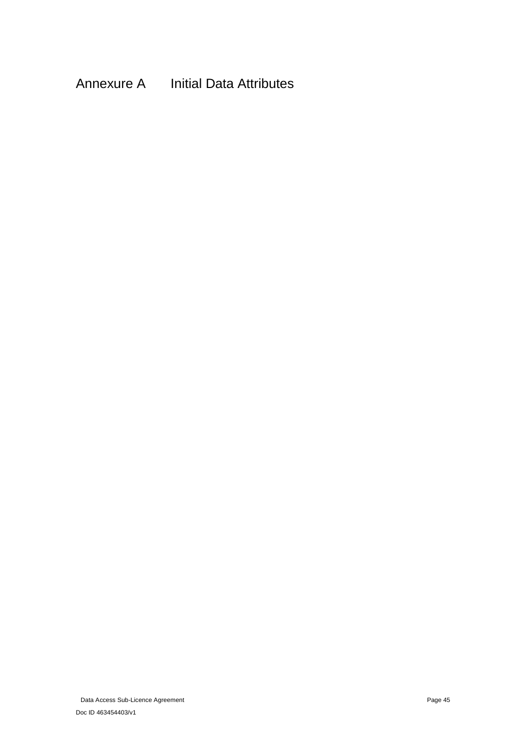# <span id="page-44-0"></span>Annexure A Initial Data Attributes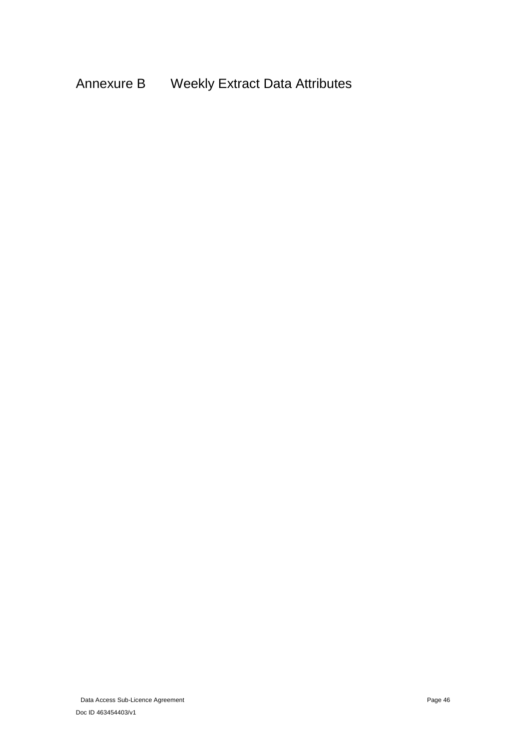<span id="page-45-0"></span>Annexure B Weekly Extract Data Attributes